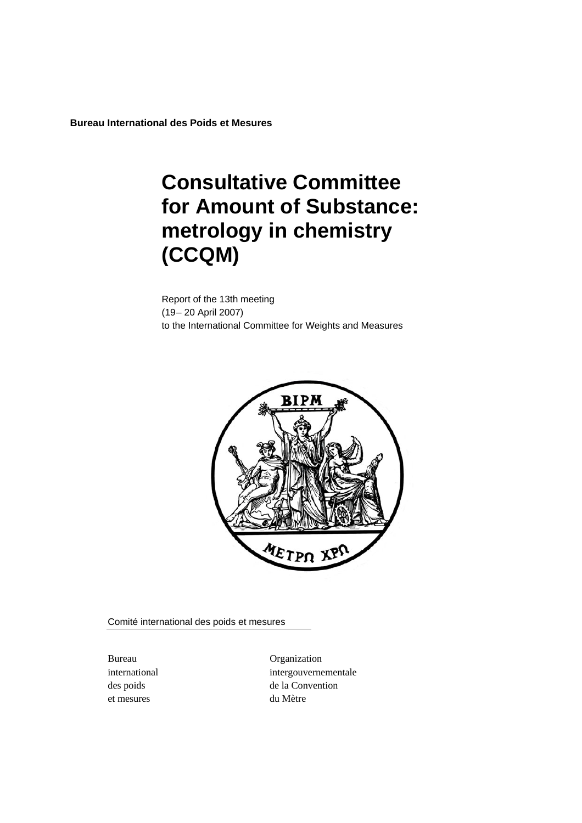**Bureau International des Poids et Mesures** 

# **Consultative Committee for Amount of Substance: metrology in chemistry (CCQM)**

Report of the 13th meeting (19– 20 April 2007) to the International Committee for Weights and Measures



Comité international des poids et mesures

et mesures du Mètre

Bureau Organization international intergouvernementale des poids de la Convention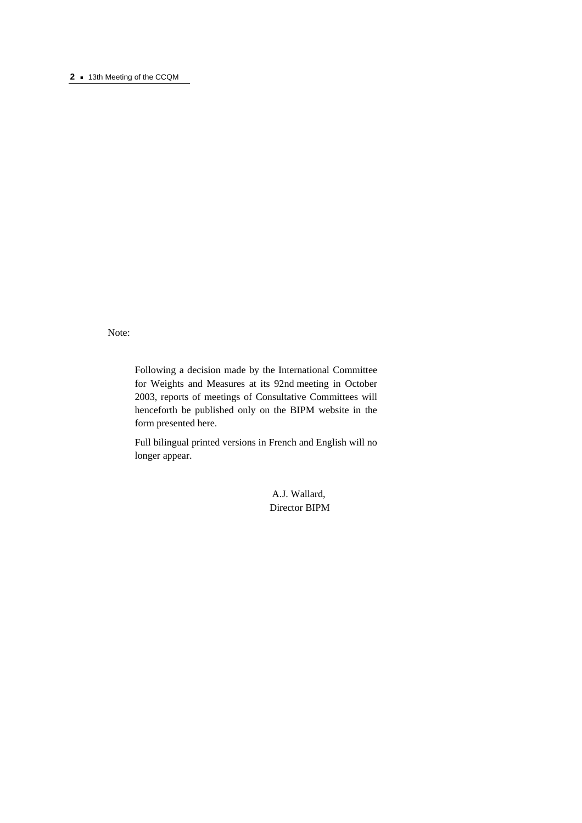#### **2 a** 13th Meeting of the CCQM

Note:

Following a decision made by the International Committee for Weights and Measures at its 92nd meeting in October 2003, reports of meetings of Consultative Committees will henceforth be published only on the BIPM website in the form presented here.

Full bilingual printed versions in French and English will no longer appear.

> A.J. Wallard, Director BIPM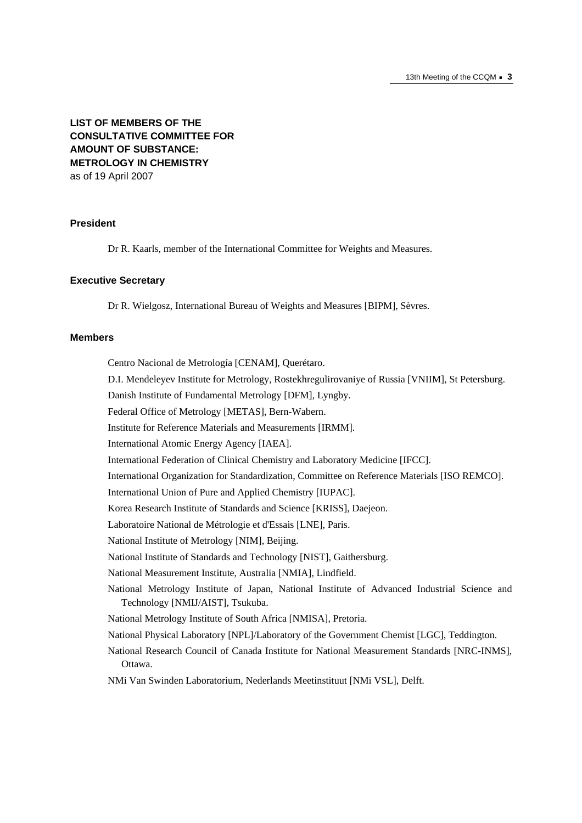## **LIST OF MEMBERS OF THE CONSULTATIVE COMMITTEE FOR AMOUNT OF SUBSTANCE: METROLOGY IN CHEMISTRY**  as of 19 April 2007

## **President**

Dr R. Kaarls, member of the International Committee for Weights and Measures.

#### **Executive Secretary**

Dr R. Wielgosz, International Bureau of Weights and Measures [BIPM], Sèvres.

#### **Members**

Centro Nacional de Metrología [CENAM], Querétaro.

D.I. Mendeleyev Institute for Metrology, Rostekhregulirovaniye of Russia [VNIIM], St Petersburg.

Danish Institute of Fundamental Metrology [DFM], Lyngby.

Federal Office of Metrology [METAS], Bern-Wabern.

Institute for Reference Materials and Measurements [IRMM].

International Atomic Energy Agency [IAEA].

International Federation of Clinical Chemistry and Laboratory Medicine [IFCC].

International Organization for Standardization, Committee on Reference Materials [ISO REMCO].

International Union of Pure and Applied Chemistry [IUPAC].

Korea Research Institute of Standards and Science [KRISS], Daejeon.

Laboratoire National de Métrologie et d'Essais [LNE], Paris.

National Institute of Metrology [NIM], Beijing.

National Institute of Standards and Technology [NIST], Gaithersburg.

National Measurement Institute, Australia [NMIA], Lindfield.

National Metrology Institute of Japan, National Institute of Advanced Industrial Science and Technology [NMIJ/AIST], Tsukuba.

National Metrology Institute of South Africa [NMISA], Pretoria.

National Physical Laboratory [NPL]/Laboratory of the Government Chemist [LGC], Teddington.

National Research Council of Canada Institute for National Measurement Standards [NRC-INMS], Ottawa.

NMi Van Swinden Laboratorium, Nederlands Meetinstituut [NMi VSL], Delft.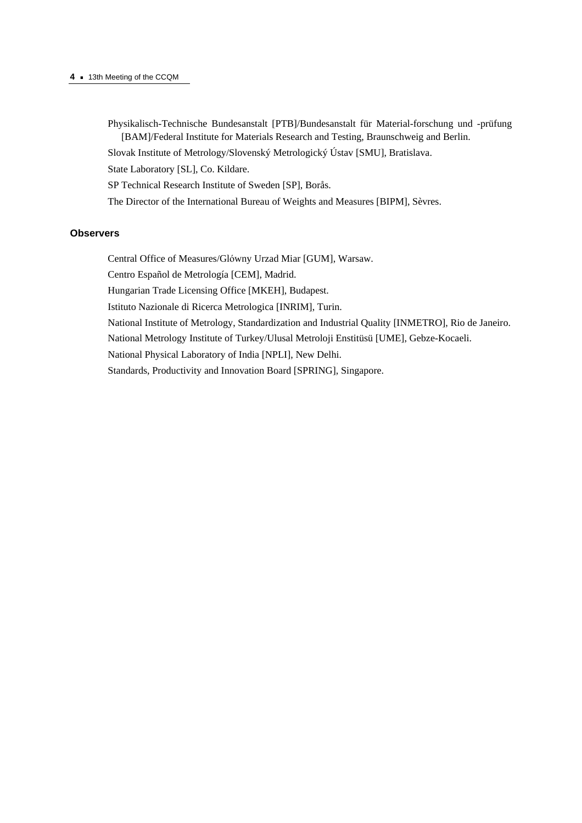#### **4 ·** 13th Meeting of the CCQM

- Physikalisch-Technische Bundesanstalt [PTB]/Bundesanstalt für Material-forschung und -prüfung [BAM]/Federal Institute for Materials Research and Testing, Braunschweig and Berlin.
- Slovak Institute of Metrology/Slovenský Metrologický Ústav [SMU], Bratislava.

State Laboratory [SL], Co. Kildare.

- SP Technical Research Institute of Sweden [SP], Borås.
- The Director of the International Bureau of Weights and Measures [BIPM], Sèvres.

#### **Observers**

Central Office of Measures/Glόwny Urzad Miar [GUM], Warsaw.

Centro Español de Metrología [CEM], Madrid.

Hungarian Trade Licensing Office [MKEH], Budapest.

Istituto Nazionale di Ricerca Metrologica [INRIM], Turin.

National Institute of Metrology, Standardization and Industrial Quality [INMETRO], Rio de Janeiro.

National Metrology Institute of Turkey/Ulusal Metroloji Enstitüsü [UME], Gebze-Kocaeli.

National Physical Laboratory of India [NPLI], New Delhi.

Standards, Productivity and Innovation Board [SPRING], Singapore.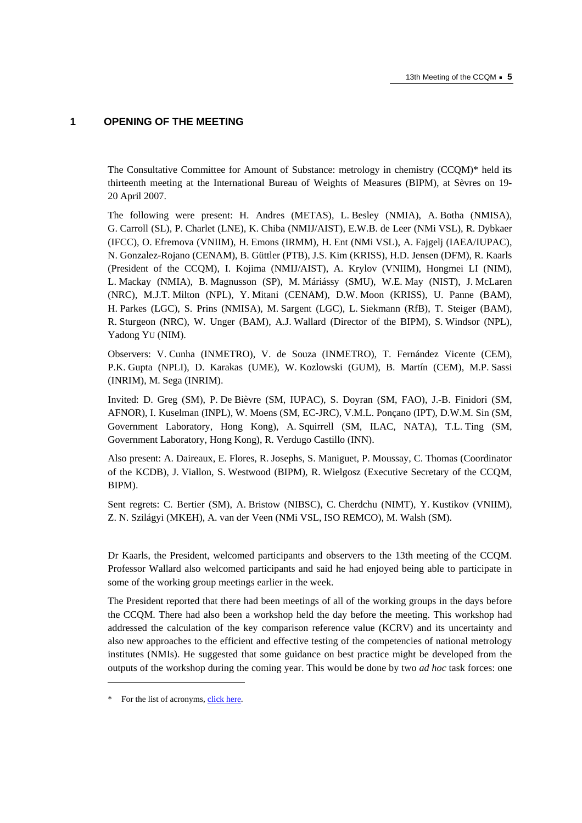## **1 OPENING OF THE MEETING**

The Consultative Committee for Amount of Substance: metrology in chemistry (CCQM)\* held its thirteenth meeting at the International Bureau of Weights of Measures (BIPM), at Sèvres on 19- 20 April 2007.

The following were present: H. Andres (METAS), L. Besley (NMIA), A. Botha (NMISA), G. Carroll (SL), P. Charlet (LNE), K. Chiba (NMIJ/AIST), E.W.B. de Leer (NMi VSL), R. Dybkaer (IFCC), O. Efremova (VNIIM), H. Emons (IRMM), H. Ent (NMi VSL), A. Fajgelj (IAEA/IUPAC), N. Gonzalez-Rojano (CENAM), B. Güttler (PTB), J.S. Kim (KRISS), H.D. Jensen (DFM), R. Kaarls (President of the CCQM), I. Kojima (NMIJ/AIST), A. Krylov (VNIIM), Hongmei LI (NIM), L. Mackay (NMIA), B. Magnusson (SP), M. Máriássy (SMU), W.E. May (NIST), J. McLaren (NRC), M.J.T. Milton (NPL), Y. Mitani (CENAM), D.W. Moon (KRISS), U. Panne (BAM), H. Parkes (LGC), S. Prins (NMISA), M. Sargent (LGC), L. Siekmann (RfB), T. Steiger (BAM), R. Sturgeon (NRC), W. Unger (BAM), A.J. Wallard (Director of the BIPM), S. Windsor (NPL), Yadong YU (NIM).

Observers: V. Cunha (INMETRO), V. de Souza (INMETRO), T. Fernández Vicente (CEM), P.K. Gupta (NPLI), D. Karakas (UME), W. Kozlowski (GUM), B. Martín (CEM), M.P. Sassi (INRIM), M. Sega (INRIM).

Invited: D. Greg (SM), P. De Bièvre (SM, IUPAC), S. Doyran (SM, FAO), J.-B. Finidori (SM, AFNOR), I. Kuselman (INPL), W. Moens (SM, EC-JRC), V.M.L. Ponçano (IPT), D.W.M. Sin (SM, Government Laboratory, Hong Kong), A. Squirrell (SM, ILAC, NATA), T.L. Ting (SM, Government Laboratory, Hong Kong), R. Verdugo Castillo (INN).

Also present: A. Daireaux, E. Flores, R. Josephs, S. Maniguet, P. Moussay, C. Thomas (Coordinator of the KCDB), J. Viallon, S. Westwood (BIPM), R. Wielgosz (Executive Secretary of the CCQM, BIPM).

Sent regrets: C. Bertier (SM), A. Bristow (NIBSC), C. Cherdchu (NIMT), Y. Kustikov (VNIIM), Z. N. Szilágyi (MKEH), A. van der Veen (NMi VSL, ISO REMCO), M. Walsh (SM).

Dr Kaarls, the President, welcomed participants and observers to the 13th meeting of the CCQM. Professor Wallard also welcomed participants and said he had enjoyed being able to participate in some of the working group meetings earlier in the week.

The President reported that there had been meetings of all of the working groups in the days before the CCQM. There had also been a workshop held the day before the meeting. This workshop had addressed the calculation of the key comparison reference value (KCRV) and its uncertainty and also new approaches to the efficient and effective testing of the competencies of national metrology institutes (NMIs). He suggested that some guidance on best practice might be developed from the outputs of the workshop during the coming year. This would be done by two *ad hoc* task forces: one

 $\overline{a}$ 

<sup>\*</sup> For the list of acrony[ms, click here.](https://www.bipm.org/en/practical_info/acronyms.html)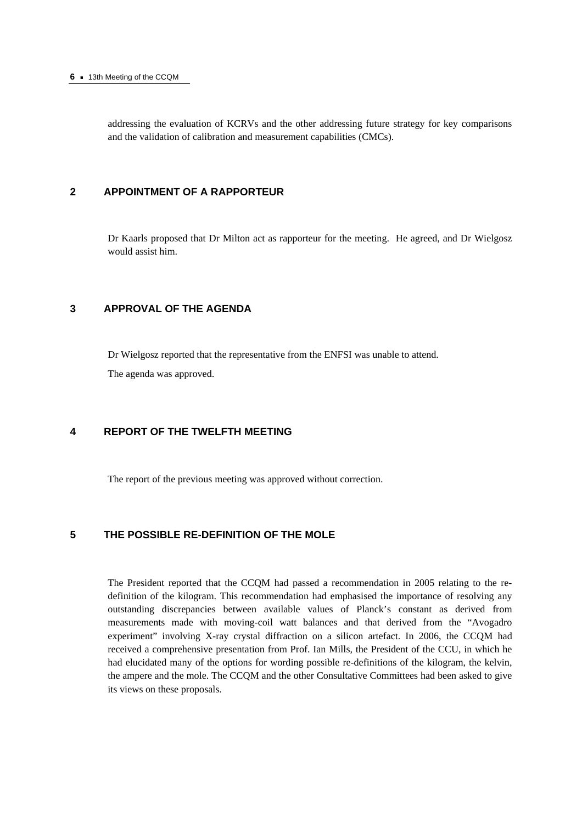#### **6 ·** 13th Meeting of the CCQM

addressing the evaluation of KCRVs and the other addressing future strategy for key comparisons and the validation of calibration and measurement capabilities (CMCs).

## **2 APPOINTMENT OF A RAPPORTEUR**

Dr Kaarls proposed that Dr Milton act as rapporteur for the meeting. He agreed, and Dr Wielgosz would assist him.

## **3 APPROVAL OF THE AGENDA**

Dr Wielgosz reported that the representative from the ENFSI was unable to attend.

The agenda was approved.

## **4 REPORT OF THE TWELFTH MEETING**

The report of the previous meeting was approved without correction.

## **5 THE POSSIBLE RE-DEFINITION OF THE MOLE**

The President reported that the CCQM had passed a recommendation in 2005 relating to the redefinition of the kilogram. This recommendation had emphasised the importance of resolving any outstanding discrepancies between available values of Planck's constant as derived from measurements made with moving-coil watt balances and that derived from the "Avogadro experiment" involving X-ray crystal diffraction on a silicon artefact. In 2006, the CCQM had received a comprehensive presentation from Prof. Ian Mills, the President of the CCU, in which he had elucidated many of the options for wording possible re-definitions of the kilogram, the kelvin, the ampere and the mole. The CCQM and the other Consultative Committees had been asked to give its views on these proposals.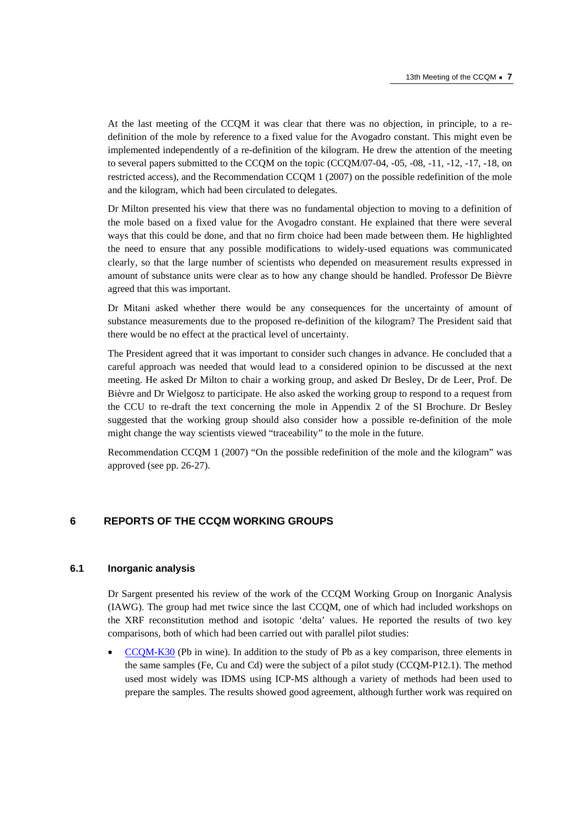At the last meeting of the CCQM it was clear that there was no objection, in principle, to a redefinition of the mole by reference to a fixed value for the Avogadro constant. This might even be implemented independently of a re-definition of the kilogram. He drew the attention of the meeting to several papers submitted to the CCQM on the topic (CCQM/07-04, -05, -08, -11, -12, -17, -18, on restricted access), and the Recommendation CCQM 1 (2007) on the possible redefinition of the mole and the kilogram, which had been circulated to delegates.

Dr Milton presented his view that there was no fundamental objection to moving to a definition of the mole based on a fixed value for the Avogadro constant. He explained that there were several ways that this could be done, and that no firm choice had been made between them. He highlighted the need to ensure that any possible modifications to widely-used equations was communicated clearly, so that the large number of scientists who depended on measurement results expressed in amount of substance units were clear as to how any change should be handled. Professor De Bièvre agreed that this was important.

Dr Mitani asked whether there would be any consequences for the uncertainty of amount of substance measurements due to the proposed re-definition of the kilogram? The President said that there would be no effect at the practical level of uncertainty.

The President agreed that it was important to consider such changes in advance. He concluded that a careful approach was needed that would lead to a considered opinion to be discussed at the next meeting. He asked Dr Milton to chair a working group, and asked Dr Besley, Dr de Leer, Prof. De Bièvre and Dr Wielgosz to participate. He also asked the working group to respond to a request from the CCU to re-draft the text concerning the mole in Appendix 2 of the SI Brochure. Dr Besley suggested that the working group should also consider how a possible re-definition of the mole might change the way scientists viewed "traceability" to the mole in the future.

Recommendation CCQM 1 (2007) "On the possible redefinition of the mole and the kilogram" was approved (see pp. 26-27).

## **6 REPORTS OF THE CCQM WORKING GROUPS**

#### **6.1 Inorganic analysis**

Dr Sargent presented his review of the work of the CCQM Working Group on Inorganic Analysis (IAWG). The group had met twice since the last CCQM, one of which had included workshops on the XRF reconstitution method and isotopic 'delta' values. He reported the results of two key comparisons, both of which had been carried out with parallel pilot studies:

• [CCQM-K30 \(Pb i](http://kcdb.bipm.org/appendixB/KCDB_ApB_info.asp?cmp_idy=183&cmp_cod=CCQM-K30&prov=exalead)n wine). In addition to the study of Pb as a key comparison, three elements in the same samples (Fe, Cu and Cd) were the subject of a pilot study (CCQM-P12.1). The method used most widely was IDMS using ICP-MS although a variety of methods had been used to prepare the samples. The results showed good agreement, although further work was required on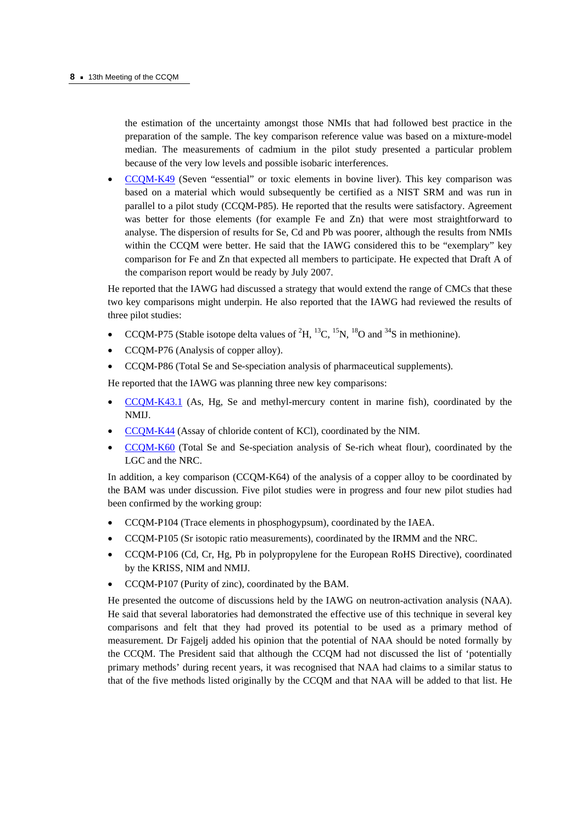the estimation of the uncertainty amongst those NMIs that had followed best practice in the preparation of the sample. The key comparison reference value was based on a mixture-model median. The measurements of cadmium in the pilot study presented a particular problem because of the very low levels and possible isobaric interferences.

• [CCQM-K49 \(Se](http://kcdb.bipm.org/appendixB/KCDB_ApB_info.asp?cmp_idy=728&cmp_cod=CCQM-K49&prov=exalead)ven "essential" or toxic elements in bovine liver). This key comparison was based on a material which would subsequently be certified as a NIST SRM and was run in parallel to a pilot study (CCQM-P85). He reported that the results were satisfactory. Agreement was better for those elements (for example Fe and Zn) that were most straightforward to analyse. The dispersion of results for Se, Cd and Pb was poorer, although the results from NMIs within the CCQM were better. He said that the IAWG considered this to be "exemplary" key comparison for Fe and Zn that expected all members to participate. He expected that Draft A of the comparison report would be ready by July 2007.

He reported that the IAWG had discussed a strategy that would extend the range of CMCs that these two key comparisons might underpin. He also reported that the IAWG had reviewed the results of three pilot studies:

- CCQM-P75 (Stable isotope delta values of  ${}^{2}H, {}^{13}C, {}^{15}N, {}^{18}O$  and  ${}^{34}S$  in methionine).
- CCQM-P76 (Analysis of copper alloy).
- CCQM-P86 (Total Se and Se-speciation analysis of pharmaceutical supplements).

He reported that the IAWG was planning three new key comparisons:

- [CCQM-K43.1 \(As](http://kcdb.bipm.org/appendixB/KCDB_ApB_info.asp?cmp_idy=829&cmp_cod=CCQM-K43.1&prov=exalead), Hg, Se and methyl-mercury content in marine fish), coordinated by the NMIJ.
- [CCQM-K44 \(Ass](http://kcdb.bipm.org/appendixB/KCDB_ApB_info.asp?cmp_idy=639&cmp_cod=CCQM-K44&prov=exalead)ay of chloride content of KCl), coordinated by the NIM.
- CCQM-K60 (Total Se and Se-speciation analysis of Se-rich wheat flour), coordinated by the [LGC and the NRC.](http://kcdb.bipm.org/appendixB/KCDB_ApB_info.asp?cmp_idy=830&cmp_cod=CCQM-K60&prov=exalead)

In addition, a key comparison (CCOM-K64) of the analysis of a copper alloy to be coordinated by the BAM was under discussion. Five pilot studies were in progress and four new pilot studies had been confirmed by the working group:

- CCQM-P104 (Trace elements in phosphogypsum), coordinated by the IAEA.
- CCQM-P105 (Sr isotopic ratio measurements), coordinated by the IRMM and the NRC.
- CCQM-P106 (Cd, Cr, Hg, Pb in polypropylene for the European RoHS Directive), coordinated by the KRISS, NIM and NMIJ.
- CCQM-P107 (Purity of zinc), coordinated by the BAM.

He presented the outcome of discussions held by the IAWG on neutron-activation analysis (NAA). He said that several laboratories had demonstrated the effective use of this technique in several key comparisons and felt that they had proved its potential to be used as a primary method of measurement. Dr Fajgelj added his opinion that the potential of NAA should be noted formally by the CCQM. The President said that although the CCQM had not discussed the list of 'potentially primary methods' during recent years, it was recognised that NAA had claims to a similar status to that of the five methods listed originally by the CCQM and that NAA will be added to that list. He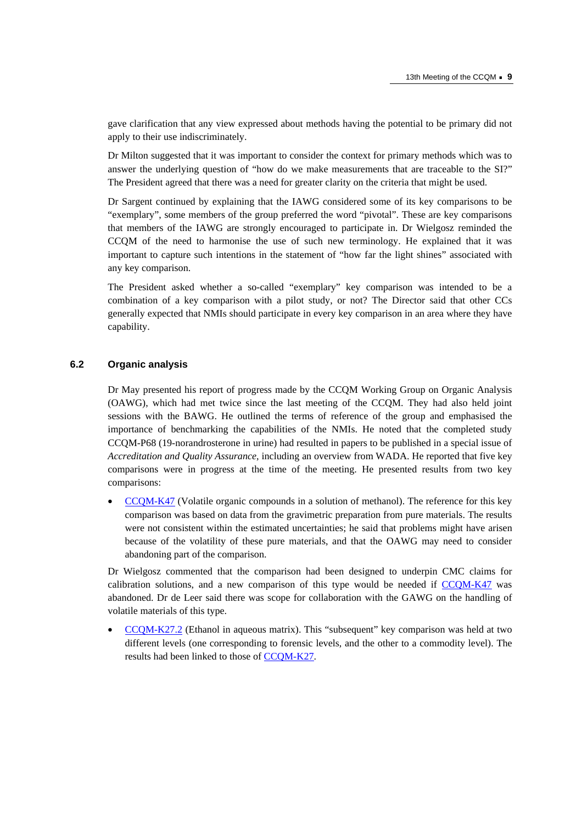gave clarification that any view expressed about methods having the potential to be primary did not apply to their use indiscriminately.

Dr Milton suggested that it was important to consider the context for primary methods which was to answer the underlying question of "how do we make measurements that are traceable to the SI?" The President agreed that there was a need for greater clarity on the criteria that might be used.

Dr Sargent continued by explaining that the IAWG considered some of its key comparisons to be "exemplary", some members of the group preferred the word "pivotal". These are key comparisons that members of the IAWG are strongly encouraged to participate in. Dr Wielgosz reminded the CCQM of the need to harmonise the use of such new terminology. He explained that it was important to capture such intentions in the statement of "how far the light shines" associated with any key comparison.

The President asked whether a so-called "exemplary" key comparison was intended to be a combination of a key comparison with a pilot study, or not? The Director said that other CCs generally expected that NMIs should participate in every key comparison in an area where they have capability.

#### **6.2 Organic analysis**

Dr May presented his report of progress made by the CCQM Working Group on Organic Analysis (OAWG), which had met twice since the last meeting of the CCQM. They had also held joint sessions with the BAWG. He outlined the terms of reference of the group and emphasised the importance of benchmarking the capabilities of the NMIs. He noted that the completed study CCQM-P68 (19-norandrosterone in urine) had resulted in papers to be published in a special issue of *Accreditation and Quality Assurance*, including an overview from WADA. He reported that five key comparisons were in progress at the time of the meeting. He presented results from two key comparisons:

• [CCQM-K47 \(Volat](http://kcdb.bipm.org/appendixB/KCDB_ApB_info.asp?cmp_idy=734&cmp_cod=CCQM-K47&prov=exalead)ile organic compounds in a solution of methanol). The reference for this key comparison was based on data from the gravimetric preparation from pure materials. The results were not consistent within the estimated uncertainties; he said that problems might have arisen because of the volatility of these pure materials, and that the OAWG may need to consider abandoning part of the comparison.

Dr Wielgosz commented that the comparison had been designed to underpin CMC claims for calibration solutions, and a new comparison of this type would be needed i[f CCQM-K47 w](http://kcdb.bipm.org/appendixB/KCDB_ApB_info.asp?cmp_idy=734&cmp_cod=CCQM-K47&prov=exalead)as abandoned. Dr de Leer said there was scope for collaboration with the GAWG on the handling of volatile materials of this type.

• [CCQM-K27.2 \(Et](http://kcdb.bipm.org/appendixB/KCDB_ApB_info.asp?cmp_idy=824&cmp_cod=CCQM-K27.2&prov=exalead)hanol in aqueous matrix). This "subsequent" key comparison was held at two different levels (one corresponding to forensic levels, and the other to a commodity level). The results had been linked to thos[e of CCQM-K27.](https://www.bipm.org/exalead_kcdb/exa_kcdb.jsp?_p=AppB&_q=CCQM-K27)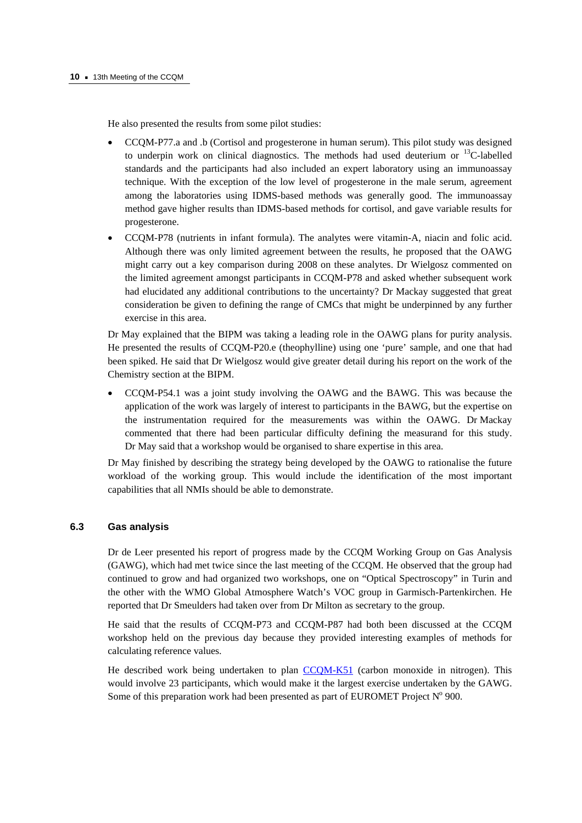He also presented the results from some pilot studies:

- CCQM-P77.a and .b (Cortisol and progesterone in human serum). This pilot study was designed to underpin work on clinical diagnostics. The methods had used deuterium or <sup>13</sup>C-labelled standards and the participants had also included an expert laboratory using an immunoassay technique. With the exception of the low level of progesterone in the male serum, agreement among the laboratories using IDMS-based methods was generally good. The immunoassay method gave higher results than IDMS-based methods for cortisol, and gave variable results for progesterone.
- CCQM-P78 (nutrients in infant formula). The analytes were vitamin-A, niacin and folic acid. Although there was only limited agreement between the results, he proposed that the OAWG might carry out a key comparison during 2008 on these analytes. Dr Wielgosz commented on the limited agreement amongst participants in CCQM-P78 and asked whether subsequent work had elucidated any additional contributions to the uncertainty? Dr Mackay suggested that great consideration be given to defining the range of CMCs that might be underpinned by any further exercise in this area.

Dr May explained that the BIPM was taking a leading role in the OAWG plans for purity analysis. He presented the results of CCQM-P20.e (theophylline) using one 'pure' sample, and one that had been spiked. He said that Dr Wielgosz would give greater detail during his report on the work of the Chemistry section at the BIPM.

• CCQM-P54.1 was a joint study involving the OAWG and the BAWG. This was because the application of the work was largely of interest to participants in the BAWG, but the expertise on the instrumentation required for the measurements was within the OAWG. Dr Mackay commented that there had been particular difficulty defining the measurand for this study. Dr May said that a workshop would be organised to share expertise in this area.

Dr May finished by describing the strategy being developed by the OAWG to rationalise the future workload of the working group. This would include the identification of the most important capabilities that all NMIs should be able to demonstrate.

#### **6.3 Gas analysis**

Dr de Leer presented his report of progress made by the CCQM Working Group on Gas Analysis (GAWG), which had met twice since the last meeting of the CCQM. He observed that the group had continued to grow and had organized two workshops, one on "Optical Spectroscopy" in Turin and the other with the WMO Global Atmosphere Watch's VOC group in Garmisch-Partenkirchen. He reported that Dr Smeulders had taken over from Dr Milton as secretary to the group.

He said that the results of CCQM-P73 and CCQM-P87 had both been discussed at the CCQM workshop held on the previous day because they provided interesting examples of methods for calculating reference values.

He described work being undertaken to p[lan CCQM-K51 \(carb](http://kcdb.bipm.org/appendixB/KCDB_ApB_info.asp?cmp_idy=757&cmp_cod=CCQM-K51&prov=exalead)on monoxide in nitrogen). This would involve 23 participants, which would make it the largest exercise undertaken by the GAWG. Some of this preparation work had been presented as part of EUROMET Project  $N^{\circ}$  900.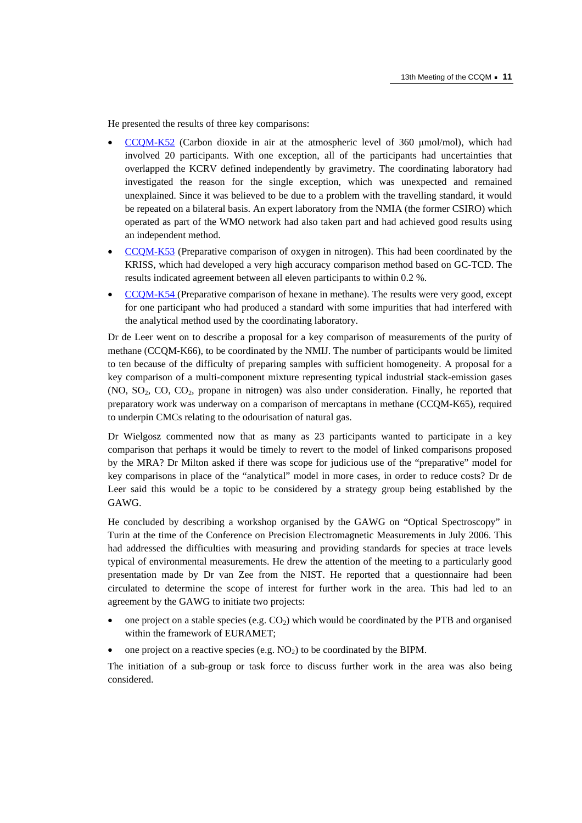He presented the results of three key comparisons:

- [CCQM-K52 \(Ca](http://kcdb.bipm.org/appendixB/KCDB_ApB_info.asp?cmp_idy=758&cmp_cod=CCQM-K52&prov=exalead)rbon dioxide in air at the atmospheric level of 360 μmol/mol), which had involved 20 participants. With one exception, all of the participants had uncertainties that overlapped the KCRV defined independently by gravimetry. The coordinating laboratory had investigated the reason for the single exception, which was unexpected and remained unexplained. Since it was believed to be due to a problem with the travelling standard, it would be repeated on a bilateral basis. An expert laboratory from the NMIA (the former CSIRO) which operated as part of the WMO network had also taken part and had achieved good results using an independent method.
- [CCQM-K53 \(Pr](http://kcdb.bipm.org/appendixB/KCDB_ApB_info.asp?cmp_idy=759&cmp_cod=CCQM-K53&prov=exalead)eparative comparison of oxygen in nitrogen). This had been coordinated by the KRISS, which had developed a very high accuracy comparison method based on GC-TCD. The results indicated agreement between all eleven participants to within 0.2 %.
- [CCQM-K54 \(Pr](http://kcdb.bipm.org/appendixB/KCDB_ApB_info.asp?cmp_idy=760&cmp_cod=CCQM-K54&prov=exalead)eparative comparison of hexane in methane). The results were very good, except for one participant who had produced a standard with some impurities that had interfered with the analytical method used by the coordinating laboratory.

Dr de Leer went on to describe a proposal for a key comparison of measurements of the purity of methane (CCQM-K66), to be coordinated by the NMIJ. The number of participants would be limited to ten because of the difficulty of preparing samples with sufficient homogeneity. A proposal for a key comparison of a multi-component mixture representing typical industrial stack-emission gases  $(NO, SO<sub>2</sub>, CO, CO<sub>2</sub>, propane in nitrogen) was also under consideration. Finally, he reported that$ preparatory work was underway on a comparison of mercaptans in methane (CCQM-K65), required to underpin CMCs relating to the odourisation of natural gas.

Dr Wielgosz commented now that as many as 23 participants wanted to participate in a key comparison that perhaps it would be timely to revert to the model of linked comparisons proposed by the MRA? Dr Milton asked if there was scope for judicious use of the "preparative" model for key comparisons in place of the "analytical" model in more cases, in order to reduce costs? Dr de Leer said this would be a topic to be considered by a strategy group being established by the GAWG.

He concluded by describing a workshop organised by the GAWG on "Optical Spectroscopy" in Turin at the time of the Conference on Precision Electromagnetic Measurements in July 2006. This had addressed the difficulties with measuring and providing standards for species at trace levels typical of environmental measurements. He drew the attention of the meeting to a particularly good presentation made by Dr van Zee from the NIST. He reported that a questionnaire had been circulated to determine the scope of interest for further work in the area. This had led to an agreement by the GAWG to initiate two projects:

- one project on a stable species (e.g.  $CO<sub>2</sub>$ ) which would be coordinated by the PTB and organised within the framework of EURAMET;
- one project on a reactive species (e.g.  $NO<sub>2</sub>$ ) to be coordinated by the BIPM.

The initiation of a sub-group or task force to discuss further work in the area was also being considered.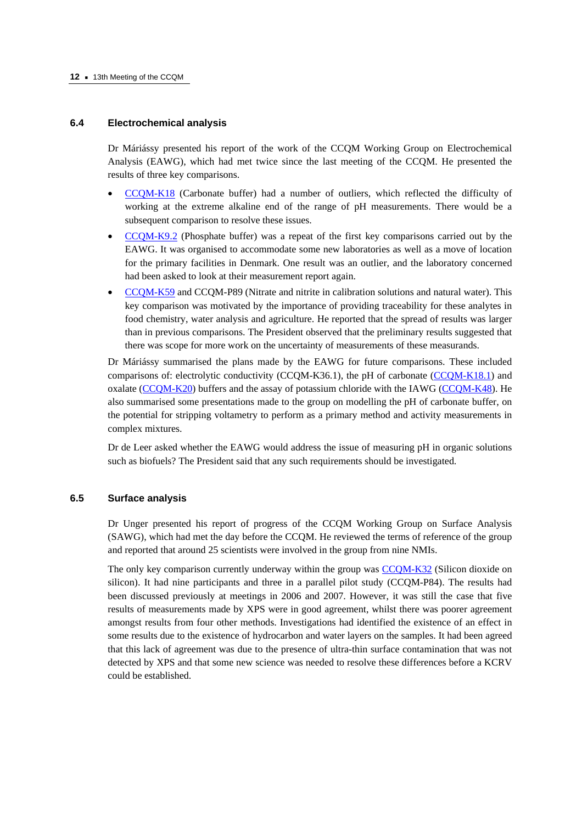#### **6.4 Electrochemical analysis**

Dr Máriássy presented his report of the work of the CCQM Working Group on Electrochemical Analysis (EAWG), which had met twice since the last meeting of the CCQM. He presented the results of three key comparisons.

- [CCQM-K18 \(Carb](http://kcdb.bipm.org/appendixB/KCDB_ApB_info.asp?cmp_idy=169&cmp_cod=CCQM-K18&prov=exalead)onate buffer) had a number of outliers, which reflected the difficulty of working at the extreme alkaline end of the range of pH measurements. There would be a subsequent comparison to resolve these issues.
- [CCQM-K9.2 \(P](http://kcdb.bipm.org/appendixB/KCDB_ApB_info.asp?cmp_idy=799&cmp_cod=CCQM-K9.2&prov=exalead)hosphate buffer) was a repeat of the first key comparisons carried out by the EAWG. It was organised to accommodate some new laboratories as well as a move of location for the primary facilities in Denmark. One result was an outlier, and the laboratory concerned had been asked to look at their measurement report again.
- [CCQM-K59 and](http://kcdb.bipm.org/appendixB/KCDB_ApB_info.asp?cmp_idy=831&cmp_cod=CCQM-K59&prov=exalead) CCQM-P89 (Nitrate and nitrite in calibration solutions and natural water). This key comparison was motivated by the importance of providing traceability for these analytes in food chemistry, water analysis and agriculture. He reported that the spread of results was larger than in previous comparisons. The President observed that the preliminary results suggested that there was scope for more work on the uncertainty of measurements of these measurands.

Dr Máriássy summarised the plans made by the EAWG for future comparisons. These included comparisons of: electrolytic conductivity (CCQM-K36.1), the pH of carbon[ate \(CCQM-K18.1\) a](http://kcdb.bipm.org/appendixB/KCDB_ApB_info.asp?cmp_idy=813&cmp_cod=CCQM-K18.1&prov=exalead)nd oxalate  $(CCOM-K20)$  buffers and the assay of potassium chloride with the IAWG  $(CCOM-K48)$ . He also summarised some presentations made to the group on modelling the pH of carbonate buffer, on the potential for stripping voltametry to perform as a primary method and activity measurements in complex mixtures.

Dr de Leer asked whether the EAWG would address the issue of measuring pH in organic solutions such as biofuels? The President said that any such requirements should be investigated.

## **6.5 Surface analysis**

Dr Unger presented his report of progress of the CCQM Working Group on Surface Analysis (SAWG), which had met the day before the CCQM. He reviewed the terms of reference of the group and reported that around 25 scientists were involved in the group from nine NMIs.

The only key comparison currently underway within the group [was CCQM-K32 \(Silicon](http://kcdb.bipm.org/appendixB/KCDB_ApB_info.asp?cmp_idy=550&cmp_cod=CCQM-K32&prov=exalead) dioxide on silicon). It had nine participants and three in a parallel pilot study (CCQM-P84). The results had been discussed previously at meetings in 2006 and 2007. However, it was still the case that five results of measurements made by XPS were in good agreement, whilst there was poorer agreement amongst results from four other methods. Investigations had identified the existence of an effect in some results due to the existence of hydrocarbon and water layers on the samples. It had been agreed that this lack of agreement was due to the presence of ultra-thin surface contamination that was not detected by XPS and that some new science was needed to resolve these differences before a KCRV could be established.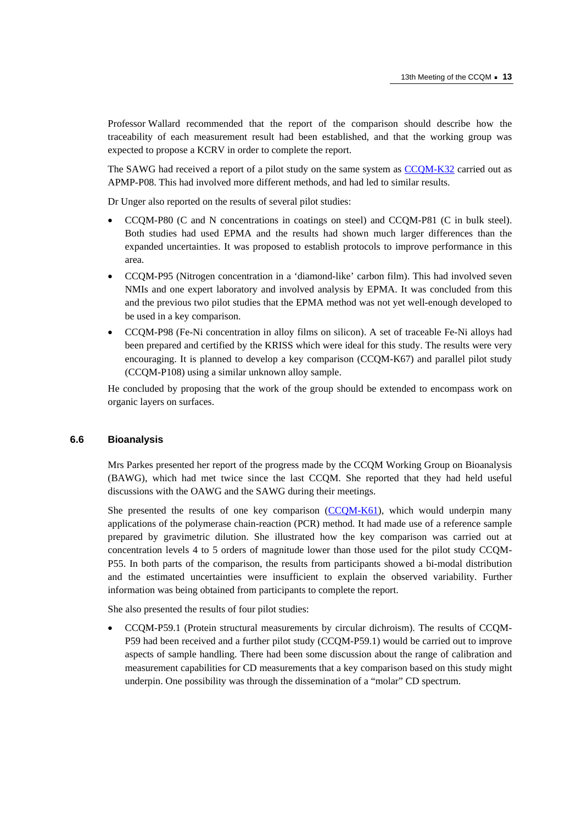Professor Wallard recommended that the report of the comparison should describe how the traceability of each measurement result had been established, and that the working group was expected to propose a KCRV in order to complete the report.

The SAWG had received a report of a pilot study on the same system [as CCQM-K32 carr](http://kcdb.bipm.org/appendixB/KCDB_ApB_info.asp?cmp_idy=550&cmp_cod=CCQM-K32&prov=exalead)ied out as APMP-P08. This had involved more different methods, and had led to similar results.

Dr Unger also reported on the results of several pilot studies:

- CCQM-P80 (C and N concentrations in coatings on steel) and CCQM-P81 (C in bulk steel). Both studies had used EPMA and the results had shown much larger differences than the expanded uncertainties. It was proposed to establish protocols to improve performance in this area.
- CCQM-P95 (Nitrogen concentration in a 'diamond-like' carbon film). This had involved seven NMIs and one expert laboratory and involved analysis by EPMA. It was concluded from this and the previous two pilot studies that the EPMA method was not yet well-enough developed to be used in a key comparison.
- CCQM-P98 (Fe-Ni concentration in alloy films on silicon). A set of traceable Fe-Ni alloys had been prepared and certified by the KRISS which were ideal for this study. The results were very encouraging. It is planned to develop a key comparison (CCQM-K67) and parallel pilot study (CCQM-P108) using a similar unknown alloy sample.

He concluded by proposing that the work of the group should be extended to encompass work on organic layers on surfaces.

#### **6.6 Bioanalysis**

Mrs Parkes presented her report of the progress made by the CCQM Working Group on Bioanalysis (BAWG), which had met twice since the last CCQM. She reported that they had held useful discussions with the OAWG and the SAWG during their meetings.

She presented the results of one key compari[son \(CCQM-K61\), wh](http://kcdb.bipm.org/appendixB/KCDB_ApB_info.asp?cmp_idy=828&cmp_cod=CCQM-K61&prov=exalead)ich would underpin many applications of the polymerase chain-reaction (PCR) method. It had made use of a reference sample prepared by gravimetric dilution. She illustrated how the key comparison was carried out at concentration levels 4 to 5 orders of magnitude lower than those used for the pilot study CCQM-P55. In both parts of the comparison, the results from participants showed a bi-modal distribution and the estimated uncertainties were insufficient to explain the observed variability. Further information was being obtained from participants to complete the report.

She also presented the results of four pilot studies:

• CCQM-P59.1 (Protein structural measurements by circular dichroism). The results of CCQM-P59 had been received and a further pilot study (CCQM-P59.1) would be carried out to improve aspects of sample handling. There had been some discussion about the range of calibration and measurement capabilities for CD measurements that a key comparison based on this study might underpin. One possibility was through the dissemination of a "molar" CD spectrum.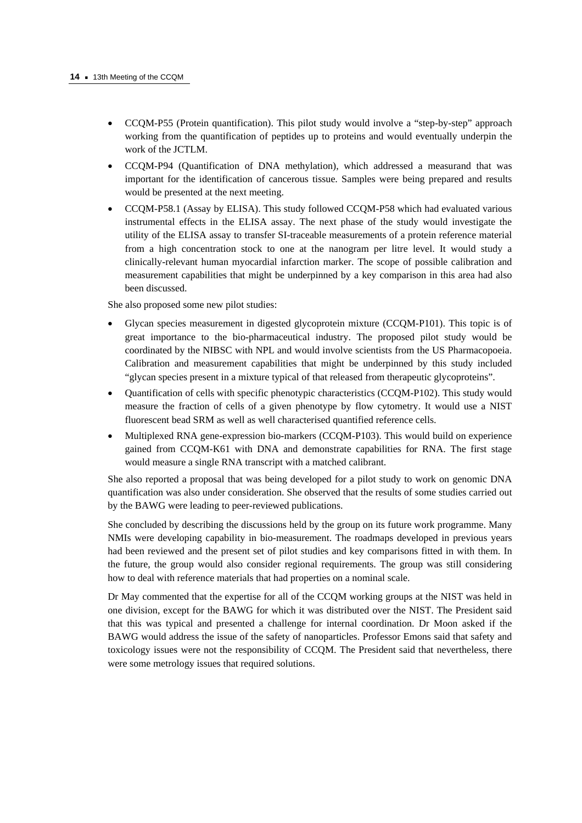- CCQM-P55 (Protein quantification). This pilot study would involve a "step-by-step" approach working from the quantification of peptides up to proteins and would eventually underpin the work of the JCTLM.
- CCQM-P94 (Quantification of DNA methylation), which addressed a measurand that was important for the identification of cancerous tissue. Samples were being prepared and results would be presented at the next meeting.
- CCQM-P58.1 (Assay by ELISA). This study followed CCQM-P58 which had evaluated various instrumental effects in the ELISA assay. The next phase of the study would investigate the utility of the ELISA assay to transfer SI-traceable measurements of a protein reference material from a high concentration stock to one at the nanogram per litre level. It would study a clinically-relevant human myocardial infarction marker. The scope of possible calibration and measurement capabilities that might be underpinned by a key comparison in this area had also been discussed.

She also proposed some new pilot studies:

- Glycan species measurement in digested glycoprotein mixture (CCQM-P101). This topic is of great importance to the bio-pharmaceutical industry. The proposed pilot study would be coordinated by the NIBSC with NPL and would involve scientists from the US Pharmacopoeia. Calibration and measurement capabilities that might be underpinned by this study included "glycan species present in a mixture typical of that released from therapeutic glycoproteins".
- Quantification of cells with specific phenotypic characteristics (CCQM-P102). This study would measure the fraction of cells of a given phenotype by flow cytometry. It would use a NIST fluorescent bead SRM as well as well characterised quantified reference cells.
- Multiplexed RNA gene-expression bio-markers (CCQM-P103). This would build on experience gained from CCQM-K61 with DNA and demonstrate capabilities for RNA. The first stage would measure a single RNA transcript with a matched calibrant.

She also reported a proposal that was being developed for a pilot study to work on genomic DNA quantification was also under consideration. She observed that the results of some studies carried out by the BAWG were leading to peer-reviewed publications.

She concluded by describing the discussions held by the group on its future work programme. Many NMIs were developing capability in bio-measurement. The roadmaps developed in previous years had been reviewed and the present set of pilot studies and key comparisons fitted in with them. In the future, the group would also consider regional requirements. The group was still considering how to deal with reference materials that had properties on a nominal scale.

Dr May commented that the expertise for all of the CCQM working groups at the NIST was held in one division, except for the BAWG for which it was distributed over the NIST. The President said that this was typical and presented a challenge for internal coordination. Dr Moon asked if the BAWG would address the issue of the safety of nanoparticles. Professor Emons said that safety and toxicology issues were not the responsibility of CCQM. The President said that nevertheless, there were some metrology issues that required solutions.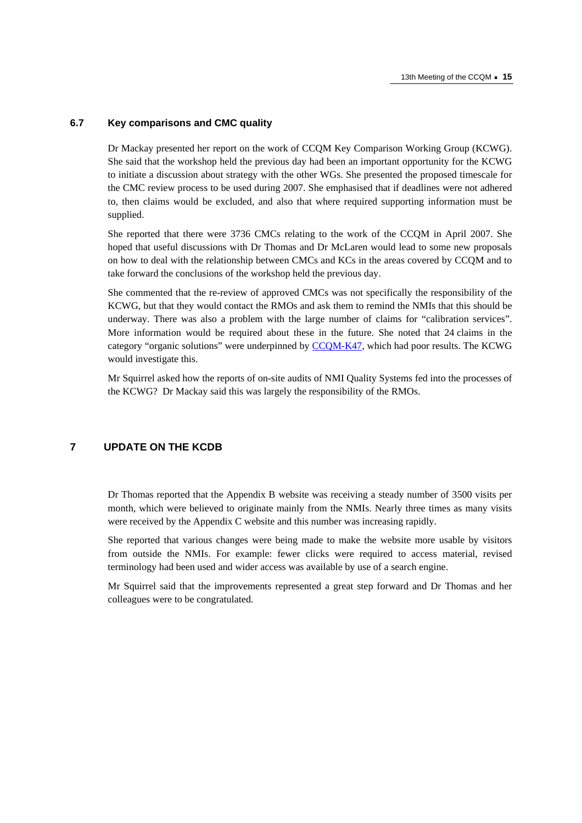#### **6.7 Key comparisons and CMC quality**

Dr Mackay presented her report on the work of CCQM Key Comparison Working Group (KCWG). She said that the workshop held the previous day had been an important opportunity for the KCWG to initiate a discussion about strategy with the other WGs. She presented the proposed timescale for the CMC review process to be used during 2007. She emphasised that if deadlines were not adhered to, then claims would be excluded, and also that where required supporting information must be supplied.

She reported that there were 3736 CMCs relating to the work of the CCQM in April 2007. She hoped that useful discussions with Dr Thomas and Dr McLaren would lead to some new proposals on how to deal with the relationship between CMCs and KCs in the areas covered by CCQM and to take forward the conclusions of the workshop held the previous day.

She commented that the re-review of approved CMCs was not specifically the responsibility of the KCWG, but that they would contact the RMOs and ask them to remind the NMIs that this should be underway. There was also a problem with the large number of claims for "calibration services". More information would be required about these in the future. She noted that 24 claims in the category "organic solutions" were underpinne[d by CCQM-K47, whi](http://kcdb.bipm.org/appendixB/KCDB_ApB_info.asp?cmp_idy=734&cmp_cod=CCQM-K47&prov=exalead)ch had poor results. The KCWG would investigate this.

Mr Squirrel asked how the reports of on-site audits of NMI Quality Systems fed into the processes of the KCWG? Dr Mackay said this was largely the responsibility of the RMOs.

## **7 UPDATE ON THE KCDB**

Dr Thomas reported that the Appendix B website was receiving a steady number of 3500 visits per month, which were believed to originate mainly from the NMIs. Nearly three times as many visits were received by the Appendix C website and this number was increasing rapidly.

She reported that various changes were being made to make the website more usable by visitors from outside the NMIs. For example: fewer clicks were required to access material, revised terminology had been used and wider access was available by use of a search engine.

Mr Squirrel said that the improvements represented a great step forward and Dr Thomas and her colleagues were to be congratulated.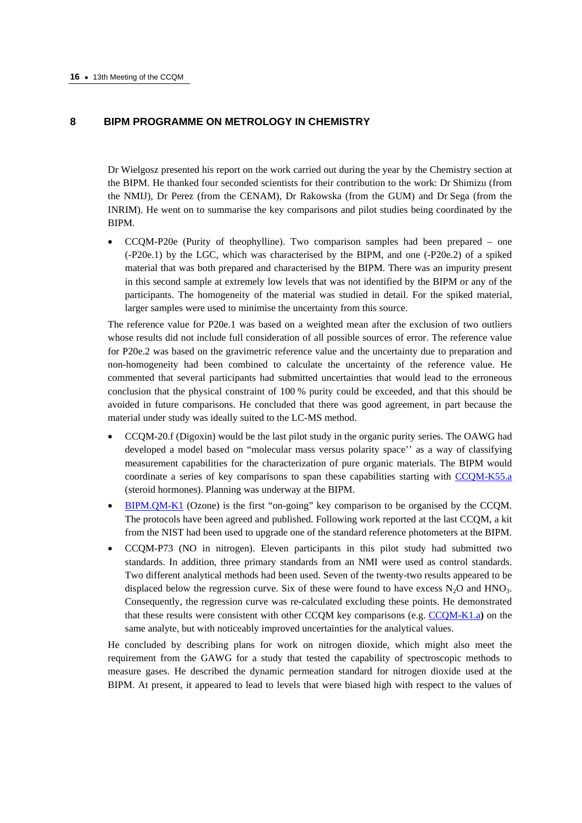#### **8 BIPM PROGRAMME ON METROLOGY IN CHEMISTRY**

Dr Wielgosz presented his report on the work carried out during the year by the Chemistry section at the BIPM. He thanked four seconded scientists for their contribution to the work: Dr Shimizu (from the NMIJ), Dr Perez (from the CENAM), Dr Rakowska (from the GUM) and Dr Sega (from the INRIM). He went on to summarise the key comparisons and pilot studies being coordinated by the BIPM.

• CCQM-P20e (Purity of theophylline). Two comparison samples had been prepared – one (-P20e.1) by the LGC, which was characterised by the BIPM, and one (-P20e.2) of a spiked material that was both prepared and characterised by the BIPM. There was an impurity present in this second sample at extremely low levels that was not identified by the BIPM or any of the participants. The homogeneity of the material was studied in detail. For the spiked material, larger samples were used to minimise the uncertainty from this source.

The reference value for P20e.1 was based on a weighted mean after the exclusion of two outliers whose results did not include full consideration of all possible sources of error. The reference value for P20e.2 was based on the gravimetric reference value and the uncertainty due to preparation and non-homogeneity had been combined to calculate the uncertainty of the reference value. He commented that several participants had submitted uncertainties that would lead to the erroneous conclusion that the physical constraint of 100 % purity could be exceeded, and that this should be avoided in future comparisons. He concluded that there was good agreement, in part because the material under study was ideally suited to the LC-MS method.

- CCQM-20.f (Digoxin) would be the last pilot study in the organic purity series. The OAWG had developed a model based on "molecular mass versus polarity space'' as a way of classifying measurement capabilities for the characterization of pure organic materials. The BIPM would coordinate a series of key comparisons to span these capabilities starting [with CCQM-K55.a](http://kcdb.bipm.org/appendixB/KCDB_ApB_info.asp?cmp_idy=823&cmp_cod=CCQM-K55.a&prov=exalead) (steroid hormones). Planning was underway at the BIPM.
- [BIPM.QM-K1 \(Ozone](http://kcdb.bipm.org/appendixB/KCDB_ApB_info.asp?cmp_idy=733&cmp_cod=BIPM.QM-K1&prov=exalead)) is the first "on-going" key comparison to be organised by the CCQM. The protocols have been agreed and published. Following work reported at the last CCQM, a kit from the NIST had been used to upgrade one of the standard reference photometers at the BIPM.
- CCQM-P73 (NO in nitrogen). Eleven participants in this pilot study had submitted two standards. In addition, three primary standards from an NMI were used as control standards. Two different analytical methods had been used. Seven of the twenty-two results appeared to be displaced below the regression curve. Six of these were found to have excess  $N_2O$  and  $HNO_3$ . Consequently, the regression curve was re-calculated excluding these points. He demonstrated that these results were consistent with other CCQM key comparisons ([e.g. CCQM-K1.a](http://kcdb.bipm.org/appendixB/KCDB_ApB_info.asp?cmp_idy=47&cmp_cod=CCQM-K1.a&prov=exalead)**)** on the same analyte, but with noticeably improved uncertainties for the analytical values.

He concluded by describing plans for work on nitrogen dioxide, which might also meet the requirement from the GAWG for a study that tested the capability of spectroscopic methods to measure gases. He described the dynamic permeation standard for nitrogen dioxide used at the BIPM. At present, it appeared to lead to levels that were biased high with respect to the values of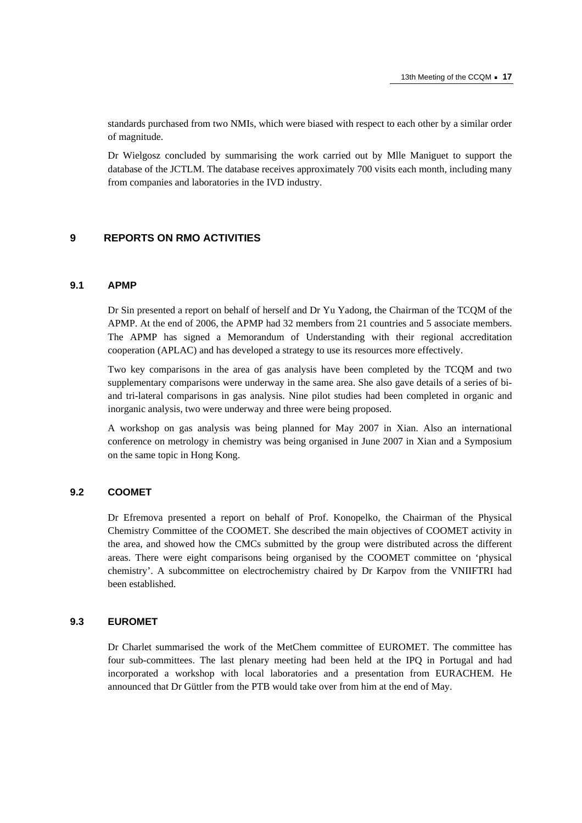standards purchased from two NMIs, which were biased with respect to each other by a similar order of magnitude.

Dr Wielgosz concluded by summarising the work carried out by Mlle Maniguet to support the database of the JCTLM. The database receives approximately 700 visits each month, including many from companies and laboratories in the IVD industry.

#### **9 REPORTS ON RMO ACTIVITIES**

## **9.1 APMP**

Dr Sin presented a report on behalf of herself and Dr Yu Yadong, the Chairman of the TCQM of the APMP. At the end of 2006, the APMP had 32 members from 21 countries and 5 associate members. The APMP has signed a Memorandum of Understanding with their regional accreditation cooperation (APLAC) and has developed a strategy to use its resources more effectively.

Two key comparisons in the area of gas analysis have been completed by the TCQM and two supplementary comparisons were underway in the same area. She also gave details of a series of biand tri-lateral comparisons in gas analysis. Nine pilot studies had been completed in organic and inorganic analysis, two were underway and three were being proposed.

A workshop on gas analysis was being planned for May 2007 in Xian. Also an international conference on metrology in chemistry was being organised in June 2007 in Xian and a Symposium on the same topic in Hong Kong.

## **9.2 COOMET**

Dr Efremova presented a report on behalf of Prof. Konopelko, the Chairman of the Physical Chemistry Committee of the COOMET. She described the main objectives of COOMET activity in the area, and showed how the CMCs submitted by the group were distributed across the different areas. There were eight comparisons being organised by the COOMET committee on 'physical chemistry'. A subcommittee on electrochemistry chaired by Dr Karpov from the VNIIFTRI had been established.

#### **9.3 EUROMET**

Dr Charlet summarised the work of the MetChem committee of EUROMET. The committee has four sub-committees. The last plenary meeting had been held at the IPQ in Portugal and had incorporated a workshop with local laboratories and a presentation from EURACHEM. He announced that Dr Güttler from the PTB would take over from him at the end of May.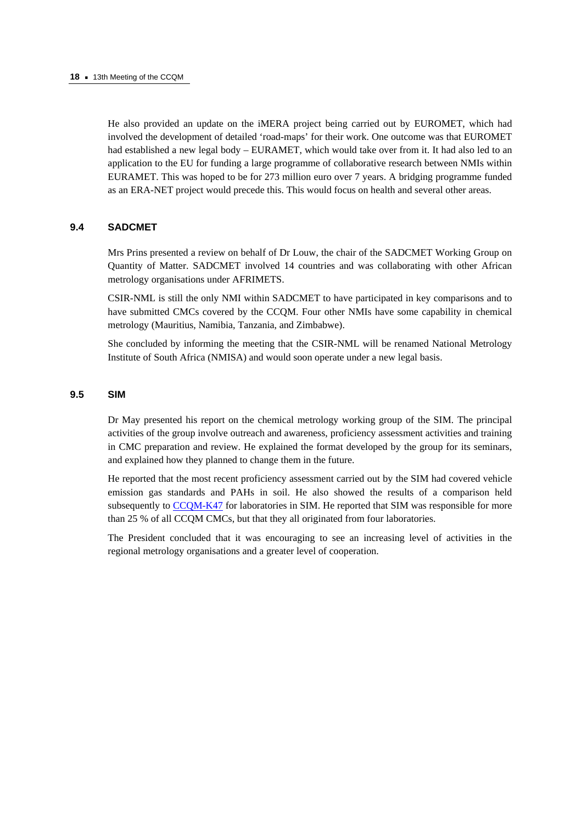He also provided an update on the iMERA project being carried out by EUROMET, which had involved the development of detailed 'road-maps' for their work. One outcome was that EUROMET had established a new legal body – EURAMET, which would take over from it. It had also led to an application to the EU for funding a large programme of collaborative research between NMIs within EURAMET. This was hoped to be for 273 million euro over 7 years. A bridging programme funded as an ERA-NET project would precede this. This would focus on health and several other areas.

#### **9.4 SADCMET**

Mrs Prins presented a review on behalf of Dr Louw, the chair of the SADCMET Working Group on Quantity of Matter. SADCMET involved 14 countries and was collaborating with other African metrology organisations under AFRIMETS.

CSIR-NML is still the only NMI within SADCMET to have participated in key comparisons and to have submitted CMCs covered by the CCQM. Four other NMIs have some capability in chemical metrology (Mauritius, Namibia, Tanzania, and Zimbabwe).

She concluded by informing the meeting that the CSIR-NML will be renamed National Metrology Institute of South Africa (NMISA) and would soon operate under a new legal basis.

## **9.5 SIM**

Dr May presented his report on the chemical metrology working group of the SIM. The principal activities of the group involve outreach and awareness, proficiency assessment activities and training in CMC preparation and review. He explained the format developed by the group for its seminars, and explained how they planned to change them in the future.

He reported that the most recent proficiency assessment carried out by the SIM had covered vehicle emission gas standards and PAHs in soil. He also showed the results of a comparison held subsequently [to CCQM-K47 for la](http://kcdb.bipm.org/appendixB/KCDB_ApB_info.asp?cmp_idy=734&cmp_cod=CCQM-K47&prov=exalead)boratories in SIM. He reported that SIM was responsible for more than 25 % of all CCQM CMCs, but that they all originated from four laboratories.

The President concluded that it was encouraging to see an increasing level of activities in the regional metrology organisations and a greater level of cooperation.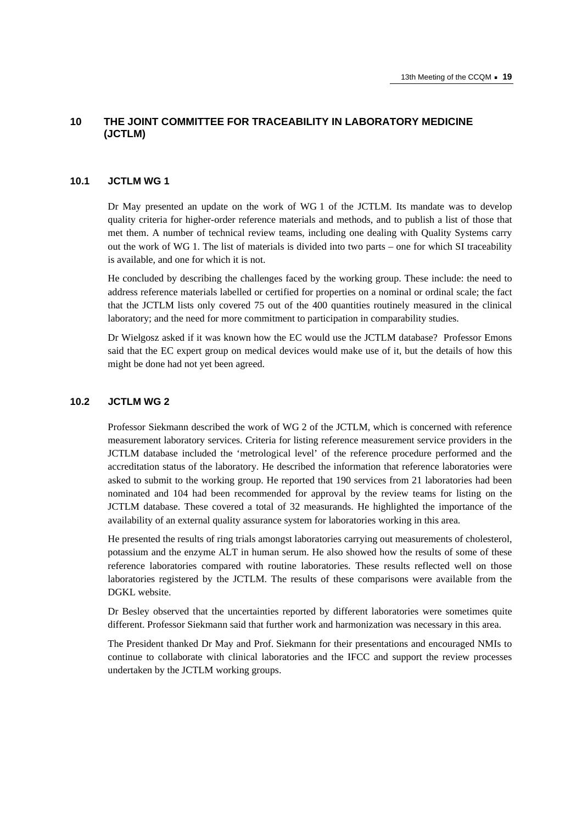## **10 THE JOINT COMMITTEE FOR TRACEABILITY IN LABORATORY MEDICINE (JCTLM)**

#### **10.1 JCTLM WG 1**

Dr May presented an update on the work of WG 1 of the JCTLM. Its mandate was to develop quality criteria for higher-order reference materials and methods, and to publish a list of those that met them. A number of technical review teams, including one dealing with Quality Systems carry out the work of WG 1. The list of materials is divided into two parts – one for which SI traceability is available, and one for which it is not.

He concluded by describing the challenges faced by the working group. These include: the need to address reference materials labelled or certified for properties on a nominal or ordinal scale; the fact that the JCTLM lists only covered 75 out of the 400 quantities routinely measured in the clinical laboratory; and the need for more commitment to participation in comparability studies.

Dr Wielgosz asked if it was known how the EC would use the JCTLM database? Professor Emons said that the EC expert group on medical devices would make use of it, but the details of how this might be done had not yet been agreed.

## **10.2 JCTLM WG 2**

Professor Siekmann described the work of WG 2 of the JCTLM, which is concerned with reference measurement laboratory services. Criteria for listing reference measurement service providers in the JCTLM database included the 'metrological level' of the reference procedure performed and the accreditation status of the laboratory. He described the information that reference laboratories were asked to submit to the working group. He reported that 190 services from 21 laboratories had been nominated and 104 had been recommended for approval by the review teams for listing on the JCTLM database. These covered a total of 32 measurands. He highlighted the importance of the availability of an external quality assurance system for laboratories working in this area.

He presented the results of ring trials amongst laboratories carrying out measurements of cholesterol, potassium and the enzyme ALT in human serum. He also showed how the results of some of these reference laboratories compared with routine laboratories. These results reflected well on those laboratories registered by the JCTLM. The results of these comparisons were available from the DGKL website.

Dr Besley observed that the uncertainties reported by different laboratories were sometimes quite different. Professor Siekmann said that further work and harmonization was necessary in this area.

The President thanked Dr May and Prof. Siekmann for their presentations and encouraged NMIs to continue to collaborate with clinical laboratories and the IFCC and support the review processes undertaken by the JCTLM working groups.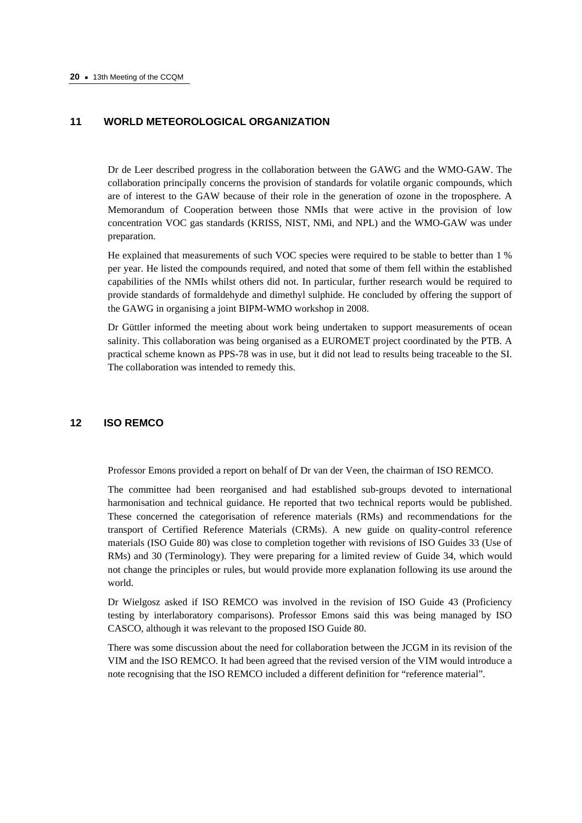#### **11 WORLD METEOROLOGICAL ORGANIZATION**

Dr de Leer described progress in the collaboration between the GAWG and the WMO-GAW. The collaboration principally concerns the provision of standards for volatile organic compounds, which are of interest to the GAW because of their role in the generation of ozone in the troposphere. A Memorandum of Cooperation between those NMIs that were active in the provision of low concentration VOC gas standards (KRISS, NIST, NMi, and NPL) and the WMO-GAW was under preparation.

He explained that measurements of such VOC species were required to be stable to better than 1 % per year. He listed the compounds required, and noted that some of them fell within the established capabilities of the NMIs whilst others did not. In particular, further research would be required to provide standards of formaldehyde and dimethyl sulphide. He concluded by offering the support of the GAWG in organising a joint BIPM-WMO workshop in 2008.

Dr Güttler informed the meeting about work being undertaken to support measurements of ocean salinity. This collaboration was being organised as a EUROMET project coordinated by the PTB. A practical scheme known as PPS-78 was in use, but it did not lead to results being traceable to the SI. The collaboration was intended to remedy this.

## **12 ISO REMCO**

Professor Emons provided a report on behalf of Dr van der Veen, the chairman of ISO REMCO.

The committee had been reorganised and had established sub-groups devoted to international harmonisation and technical guidance. He reported that two technical reports would be published. These concerned the categorisation of reference materials (RMs) and recommendations for the transport of Certified Reference Materials (CRMs). A new guide on quality-control reference materials (ISO Guide 80) was close to completion together with revisions of ISO Guides 33 (Use of RMs) and 30 (Terminology). They were preparing for a limited review of Guide 34, which would not change the principles or rules, but would provide more explanation following its use around the world.

Dr Wielgosz asked if ISO REMCO was involved in the revision of ISO Guide 43 (Proficiency testing by interlaboratory comparisons). Professor Emons said this was being managed by ISO CASCO, although it was relevant to the proposed ISO Guide 80.

There was some discussion about the need for collaboration between the JCGM in its revision of the VIM and the ISO REMCO. It had been agreed that the revised version of the VIM would introduce a note recognising that the ISO REMCO included a different definition for "reference material".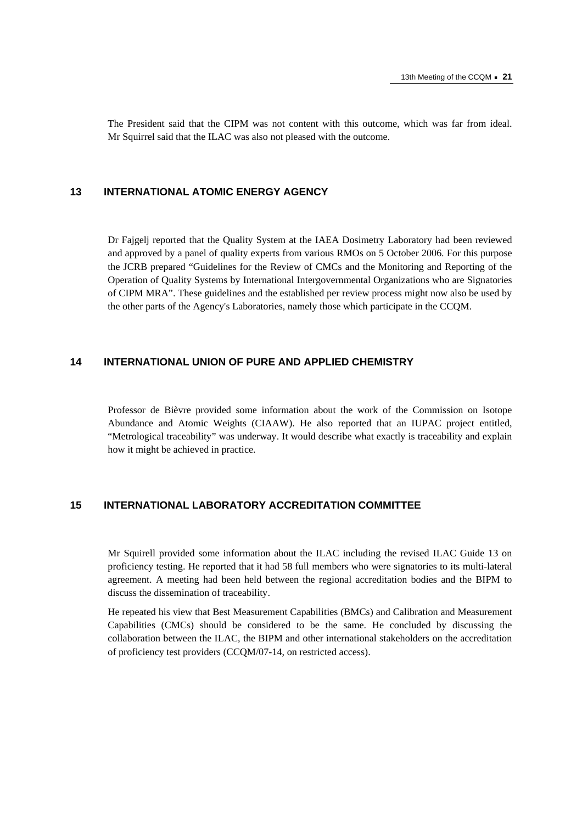The President said that the CIPM was not content with this outcome, which was far from ideal. Mr Squirrel said that the ILAC was also not pleased with the outcome.

## **13 INTERNATIONAL ATOMIC ENERGY AGENCY**

Dr Fajgelj reported that the Quality System at the IAEA Dosimetry Laboratory had been reviewed and approved by a panel of quality experts from various RMOs on 5 October 2006. For this purpose the JCRB prepared "Guidelines for the Review of CMCs and the Monitoring and Reporting of the Operation of Quality Systems by International Intergovernmental Organizations who are Signatories of CIPM MRA". These guidelines and the established per review process might now also be used by the other parts of the Agency's Laboratories, namely those which participate in the CCQM.

## **14 INTERNATIONAL UNION OF PURE AND APPLIED CHEMISTRY**

Professor de Bièvre provided some information about the work of the Commission on Isotope Abundance and Atomic Weights (CIAAW). He also reported that an IUPAC project entitled, "Metrological traceability" was underway. It would describe what exactly is traceability and explain how it might be achieved in practice.

#### **15 INTERNATIONAL LABORATORY ACCREDITATION COMMITTEE**

Mr Squirell provided some information about the ILAC including the revised ILAC Guide 13 on proficiency testing. He reported that it had 58 full members who were signatories to its multi-lateral agreement. A meeting had been held between the regional accreditation bodies and the BIPM to discuss the dissemination of traceability.

He repeated his view that Best Measurement Capabilities (BMCs) and Calibration and Measurement Capabilities (CMCs) should be considered to be the same. He concluded by discussing the collaboration between the ILAC, the BIPM and other international stakeholders on the accreditation of proficiency test providers (CCQM/07-14, on restricted access).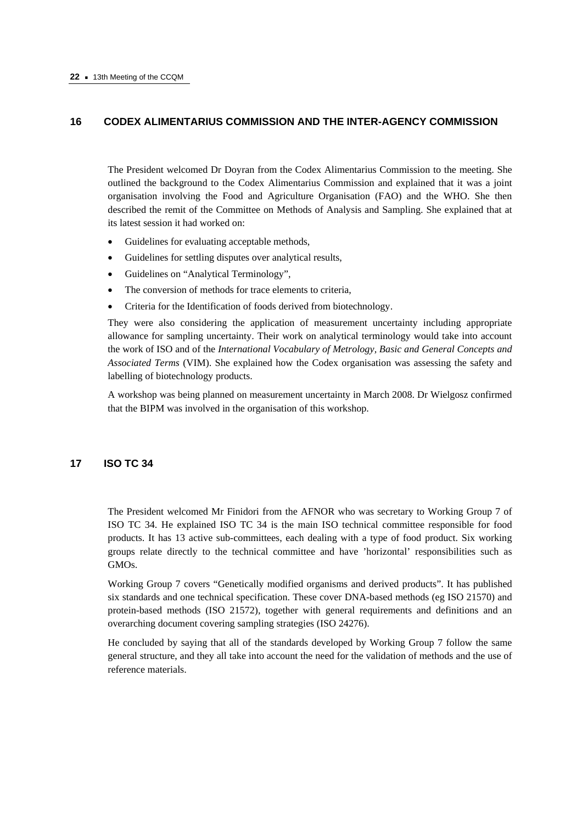## **16 CODEX ALIMENTARIUS COMMISSION AND THE INTER-AGENCY COMMISSION**

The President welcomed Dr Doyran from the Codex Alimentarius Commission to the meeting. She outlined the background to the Codex Alimentarius Commission and explained that it was a joint organisation involving the Food and Agriculture Organisation (FAO) and the WHO. She then described the remit of the Committee on Methods of Analysis and Sampling. She explained that at its latest session it had worked on:

- Guidelines for evaluating acceptable methods,
- Guidelines for settling disputes over analytical results,
- Guidelines on "Analytical Terminology",
- The conversion of methods for trace elements to criteria.
- Criteria for the Identification of foods derived from biotechnology.

They were also considering the application of measurement uncertainty including appropriate allowance for sampling uncertainty. Their work on analytical terminology would take into account the work of ISO and of the *International Vocabulary of Metrology, Basic and General Concepts and Associated Terms* (VIM). She explained how the Codex organisation was assessing the safety and labelling of biotechnology products.

A workshop was being planned on measurement uncertainty in March 2008. Dr Wielgosz confirmed that the BIPM was involved in the organisation of this workshop.

#### **17 ISO TC 34**

The President welcomed Mr Finidori from the AFNOR who was secretary to Working Group 7 of ISO TC 34. He explained ISO TC 34 is the main ISO technical committee responsible for food products. It has 13 active sub-committees, each dealing with a type of food product. Six working groups relate directly to the technical committee and have 'horizontal' responsibilities such as GMOs.

Working Group 7 covers "Genetically modified organisms and derived products". It has published six standards and one technical specification. These cover DNA-based methods (eg ISO 21570) and protein-based methods (ISO 21572), together with general requirements and definitions and an overarching document covering sampling strategies (ISO 24276).

He concluded by saying that all of the standards developed by Working Group 7 follow the same general structure, and they all take into account the need for the validation of methods and the use of reference materials.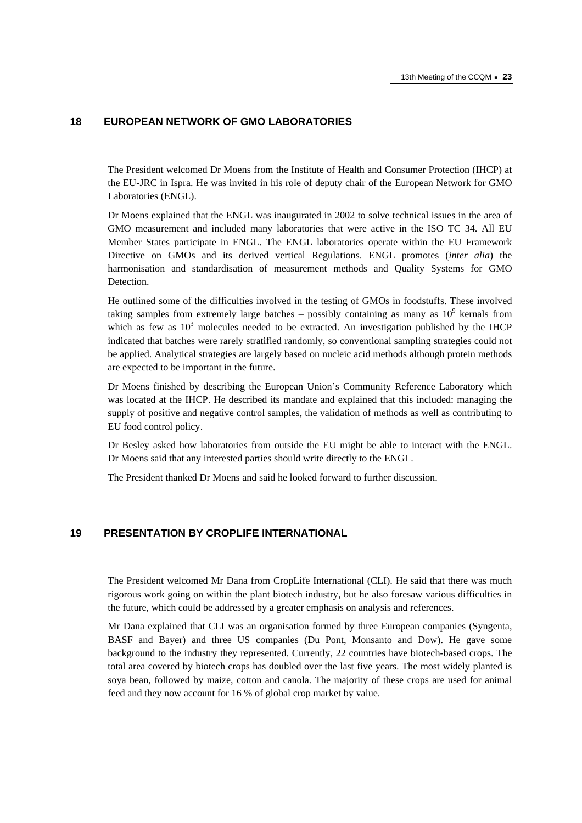## **18 EUROPEAN NETWORK OF GMO LABORATORIES**

The President welcomed Dr Moens from the Institute of Health and Consumer Protection (IHCP) at the EU-JRC in Ispra. He was invited in his role of deputy chair of the European Network for GMO Laboratories (ENGL).

Dr Moens explained that the ENGL was inaugurated in 2002 to solve technical issues in the area of GMO measurement and included many laboratories that were active in the ISO TC 34. All EU Member States participate in ENGL. The ENGL laboratories operate within the EU Framework Directive on GMOs and its derived vertical Regulations. ENGL promotes (*inter alia*) the harmonisation and standardisation of measurement methods and Quality Systems for GMO Detection.

He outlined some of the difficulties involved in the testing of GMOs in foodstuffs. These involved taking samples from extremely large batches – possibly containing as many as  $10^9$  kernals from which as few as  $10^3$  molecules needed to be extracted. An investigation published by the IHCP indicated that batches were rarely stratified randomly, so conventional sampling strategies could not be applied. Analytical strategies are largely based on nucleic acid methods although protein methods are expected to be important in the future.

Dr Moens finished by describing the European Union's Community Reference Laboratory which was located at the IHCP. He described its mandate and explained that this included: managing the supply of positive and negative control samples, the validation of methods as well as contributing to EU food control policy.

Dr Besley asked how laboratories from outside the EU might be able to interact with the ENGL. Dr Moens said that any interested parties should write directly to the ENGL.

The President thanked Dr Moens and said he looked forward to further discussion.

## **19 PRESENTATION BY CROPLIFE INTERNATIONAL**

The President welcomed Mr Dana from CropLife International (CLI). He said that there was much rigorous work going on within the plant biotech industry, but he also foresaw various difficulties in the future, which could be addressed by a greater emphasis on analysis and references.

Mr Dana explained that CLI was an organisation formed by three European companies (Syngenta, BASF and Bayer) and three US companies (Du Pont, Monsanto and Dow). He gave some background to the industry they represented. Currently, 22 countries have biotech-based crops. The total area covered by biotech crops has doubled over the last five years. The most widely planted is soya bean, followed by maize, cotton and canola. The majority of these crops are used for animal feed and they now account for 16 % of global crop market by value.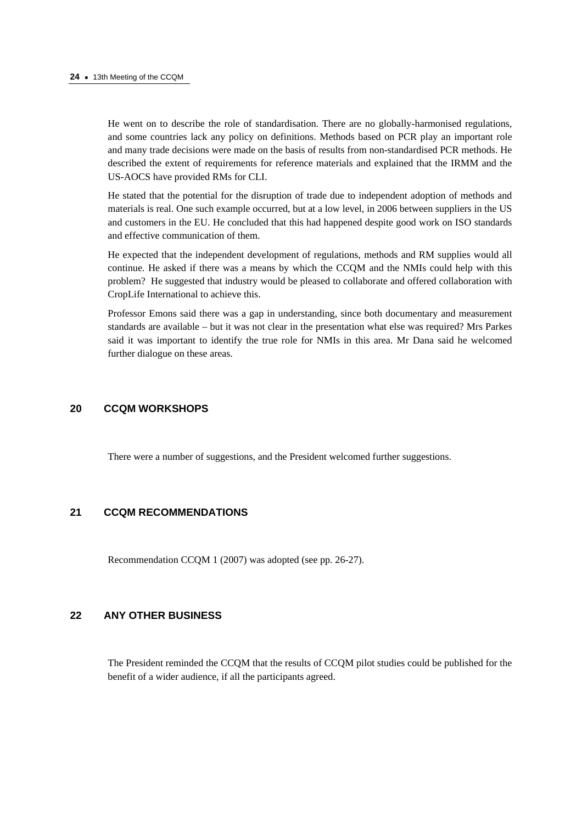He went on to describe the role of standardisation. There are no globally-harmonised regulations, and some countries lack any policy on definitions. Methods based on PCR play an important role and many trade decisions were made on the basis of results from non-standardised PCR methods. He described the extent of requirements for reference materials and explained that the IRMM and the US-AOCS have provided RMs for CLI.

He stated that the potential for the disruption of trade due to independent adoption of methods and materials is real. One such example occurred, but at a low level, in 2006 between suppliers in the US and customers in the EU. He concluded that this had happened despite good work on ISO standards and effective communication of them.

He expected that the independent development of regulations, methods and RM supplies would all continue. He asked if there was a means by which the CCQM and the NMIs could help with this problem? He suggested that industry would be pleased to collaborate and offered collaboration with CropLife International to achieve this.

Professor Emons said there was a gap in understanding, since both documentary and measurement standards are available – but it was not clear in the presentation what else was required? Mrs Parkes said it was important to identify the true role for NMIs in this area. Mr Dana said he welcomed further dialogue on these areas.

#### **20 CCQM WORKSHOPS**

There were a number of suggestions, and the President welcomed further suggestions.

## **21 CCQM RECOMMENDATIONS**

Recommendation CCQM 1 (2007) was adopted (see pp. 26-27).

## **22 ANY OTHER BUSINESS**

The President reminded the CCQM that the results of CCQM pilot studies could be published for the benefit of a wider audience, if all the participants agreed.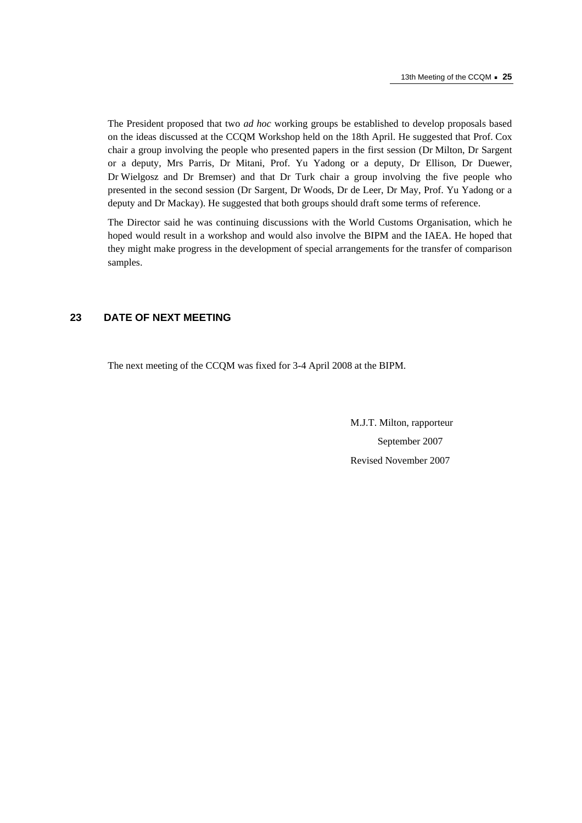The President proposed that two *ad hoc* working groups be established to develop proposals based on the ideas discussed at the CCQM Workshop held on the 18th April. He suggested that Prof. Cox chair a group involving the people who presented papers in the first session (Dr Milton, Dr Sargent or a deputy, Mrs Parris, Dr Mitani, Prof. Yu Yadong or a deputy, Dr Ellison, Dr Duewer, Dr Wielgosz and Dr Bremser) and that Dr Turk chair a group involving the five people who presented in the second session (Dr Sargent, Dr Woods, Dr de Leer, Dr May, Prof. Yu Yadong or a deputy and Dr Mackay). He suggested that both groups should draft some terms of reference.

The Director said he was continuing discussions with the World Customs Organisation, which he hoped would result in a workshop and would also involve the BIPM and the IAEA. He hoped that they might make progress in the development of special arrangements for the transfer of comparison samples.

## **23 DATE OF NEXT MEETING**

The next meeting of the CCQM was fixed for 3-4 April 2008 at the BIPM.

 M.J.T. Milton, rapporteur September 2007 Revised November 2007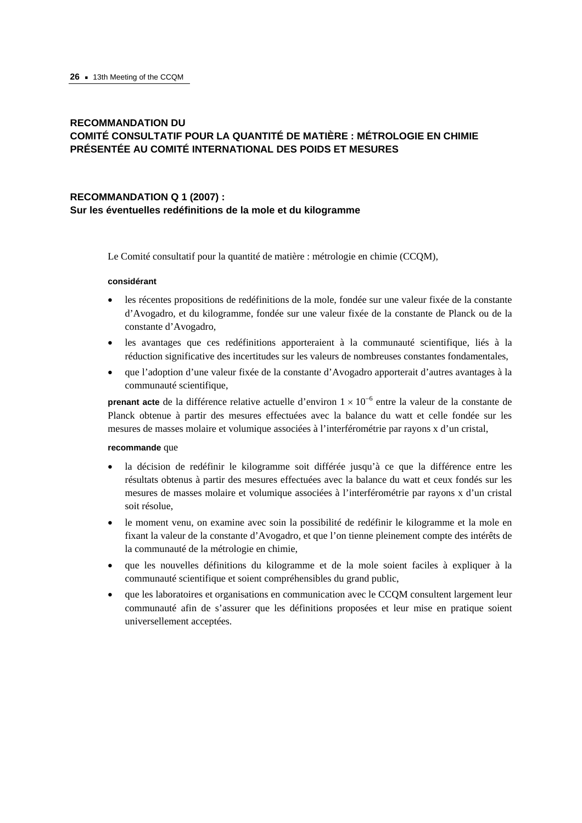## **RECOMMANDATION DU COMITÉ CONSULTATIF POUR LA QUANTITÉ DE MATIÈRE : MÉTROLOGIE EN CHIMIE PRÉSENTÉE AU COMITÉ INTERNATIONAL DES POIDS ET MESURES**

## **RECOMMANDATION Q 1 (2007) : Sur les éventuelles redéfinitions de la mole et du kilogramme**

Le Comité consultatif pour la quantité de matière : métrologie en chimie (CCQM),

#### **considérant**

- les récentes propositions de redéfinitions de la mole, fondée sur une valeur fixée de la constante d'Avogadro, et du kilogramme, fondée sur une valeur fixée de la constante de Planck ou de la constante d'Avogadro,
- les avantages que ces redéfinitions apporteraient à la communauté scientifique, liés à la réduction significative des incertitudes sur les valeurs de nombreuses constantes fondamentales,
- que l'adoption d'une valeur fixée de la constante d'Avogadro apporterait d'autres avantages à la communauté scientifique,

**prenant acte** de la différence relative actuelle d'environ  $1 \times 10^{-6}$  entre la valeur de la constante de Planck obtenue à partir des mesures effectuées avec la balance du watt et celle fondée sur les mesures de masses molaire et volumique associées à l'interférométrie par rayons x d'un cristal,

#### **recommande** que

- la décision de redéfinir le kilogramme soit différée jusqu'à ce que la différence entre les résultats obtenus à partir des mesures effectuées avec la balance du watt et ceux fondés sur les mesures de masses molaire et volumique associées à l'interférométrie par rayons x d'un cristal soit résolue,
- le moment venu, on examine avec soin la possibilité de redéfinir le kilogramme et la mole en fixant la valeur de la constante d'Avogadro, et que l'on tienne pleinement compte des intérêts de la communauté de la métrologie en chimie,
- que les nouvelles définitions du kilogramme et de la mole soient faciles à expliquer à la communauté scientifique et soient compréhensibles du grand public,
- que les laboratoires et organisations en communication avec le CCQM consultent largement leur communauté afin de s'assurer que les définitions proposées et leur mise en pratique soient universellement acceptées.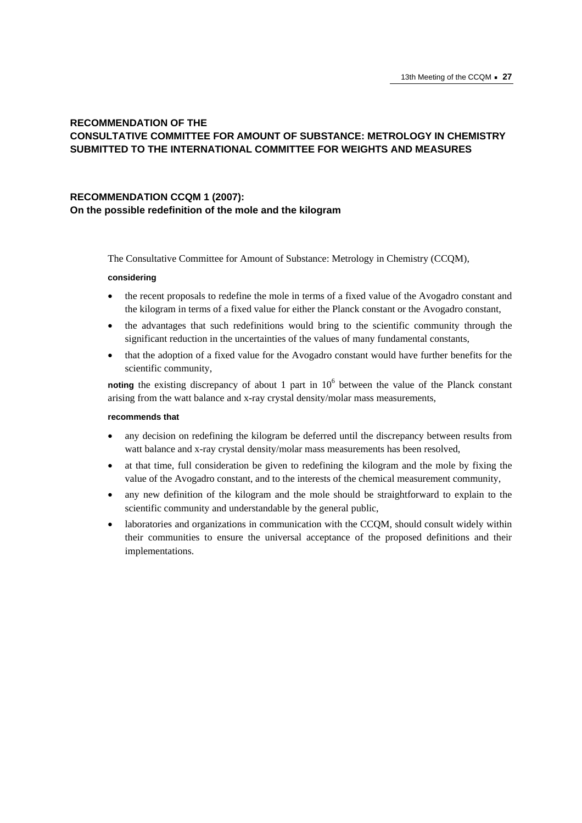## **RECOMMENDATION OF THE CONSULTATIVE COMMITTEE FOR AMOUNT OF SUBSTANCE: METROLOGY IN CHEMISTRY SUBMITTED TO THE INTERNATIONAL COMMITTEE FOR WEIGHTS AND MEASURES**

## **RECOMMENDATION CCQM 1 (2007): On the possible redefinition of the mole and the kilogram**

The Consultative Committee for Amount of Substance: Metrology in Chemistry (CCQM),

#### **considering**

- the recent proposals to redefine the mole in terms of a fixed value of the Avogadro constant and the kilogram in terms of a fixed value for either the Planck constant or the Avogadro constant,
- the advantages that such redefinitions would bring to the scientific community through the significant reduction in the uncertainties of the values of many fundamental constants,
- that the adoption of a fixed value for the Avogadro constant would have further benefits for the scientific community,

noting the existing discrepancy of about 1 part in 10<sup>6</sup> between the value of the Planck constant arising from the watt balance and x-ray crystal density/molar mass measurements,

#### **recommends that**

- any decision on redefining the kilogram be deferred until the discrepancy between results from watt balance and x-ray crystal density/molar mass measurements has been resolved,
- at that time, full consideration be given to redefining the kilogram and the mole by fixing the value of the Avogadro constant, and to the interests of the chemical measurement community,
- any new definition of the kilogram and the mole should be straightforward to explain to the scientific community and understandable by the general public,
- laboratories and organizations in communication with the CCQM, should consult widely within their communities to ensure the universal acceptance of the proposed definitions and their implementations.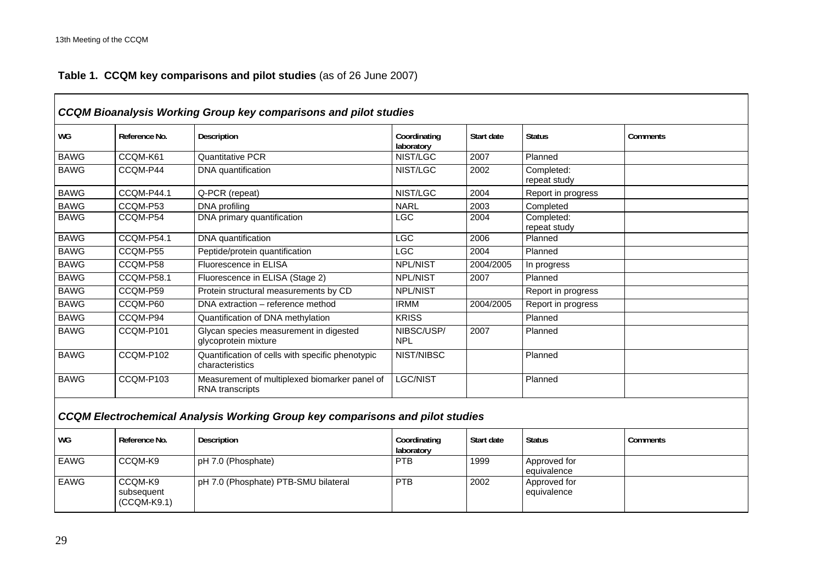## **Table 1. CCQM key comparisons and pilot studies** (as of 26 June 2007)

|             |                                        | <b>CCQM Bioanalysis Working Group key comparisons and pilot studies</b>              |                            |            |                             |          |
|-------------|----------------------------------------|--------------------------------------------------------------------------------------|----------------------------|------------|-----------------------------|----------|
| WG          | Reference No.                          | Description                                                                          | Coordinating<br>laboratory | Start date | <b>Status</b>               | Comments |
| <b>BAWG</b> | CCQM-K61                               | <b>Quantitative PCR</b>                                                              | NIST/LGC                   | 2007       | Planned                     |          |
| <b>BAWG</b> | CCQM-P44                               | <b>DNA</b> quantification                                                            | NIST/LGC                   | 2002       | Completed:<br>repeat study  |          |
| <b>BAWG</b> | CCQM-P44.1                             | Q-PCR (repeat)                                                                       | NIST/LGC                   | 2004       | Report in progress          |          |
| <b>BAWG</b> | CCQM-P53                               | DNA profiling                                                                        | <b>NARL</b>                | 2003       | Completed                   |          |
| <b>BAWG</b> | CCQM-P54                               | DNA primary quantification                                                           | LG                         | 2004       | Completed:<br>repeat study  |          |
| <b>BAWG</b> | <b>CCQM-P54.1</b>                      | DNA quantification                                                                   | <b>LGC</b>                 | 2006       | Planned                     |          |
| <b>BAWG</b> | CCQM-P55                               | Peptide/protein quantification                                                       | <b>LGC</b>                 | 2004       | Planned                     |          |
| <b>BAWG</b> | CCQM-P58                               | Fluorescence in ELISA                                                                | <b>NPL/NIST</b>            | 2004/2005  | In progress                 |          |
| <b>BAWG</b> | <b>CCQM-P58.1</b>                      | Fluorescence in ELISA (Stage 2)                                                      | <b>NPL/NIST</b>            | 2007       | Planned                     |          |
| <b>BAWG</b> | CCQM-P59                               | Protein structural measurements by CD                                                | <b>NPL/NIST</b>            |            | Report in progress          |          |
| <b>BAWG</b> | CCQM-P60                               | DNA extraction - reference method                                                    | <b>IRMM</b>                | 2004/2005  | Report in progress          |          |
| <b>BAWG</b> | CCQM-P94                               | Quantification of DNA methylation                                                    | <b>KRISS</b>               |            | Planned                     |          |
| <b>BAWG</b> | CCQM-P101                              | Glycan species measurement in digested<br>glycoprotein mixture                       | NIBSC/USP/<br><b>NPL</b>   | 2007       | Planned                     |          |
| <b>BAWG</b> | CCQM-P102                              | Quantification of cells with specific phenotypic<br>characteristics                  | NIST/NIBSC                 |            | Planned                     |          |
| <b>BAWG</b> | CCQM-P103                              | Measurement of multiplexed biomarker panel of<br>RNA transcripts                     | LGC/NIST                   |            | Planned                     |          |
|             |                                        | <b>CCQM Electrochemical Analysis Working Group key comparisons and pilot studies</b> |                            |            |                             |          |
| WG          | Reference No.                          | Description                                                                          | Coordinating<br>laboratory | Start date | <b>Status</b>               | Comments |
| <b>EAWG</b> | CCQM-K9                                | pH 7.0 (Phosphate)                                                                   | PTB                        | 1999       | Approved for<br>equivalence |          |
| <b>EAWG</b> | CCQM-K9<br>subsequent<br>$(CCOM-K9.1)$ | pH 7.0 (Phosphate) PTB-SMU bilateral                                                 | <b>PTB</b>                 | 2002       | Approved for<br>equivalence |          |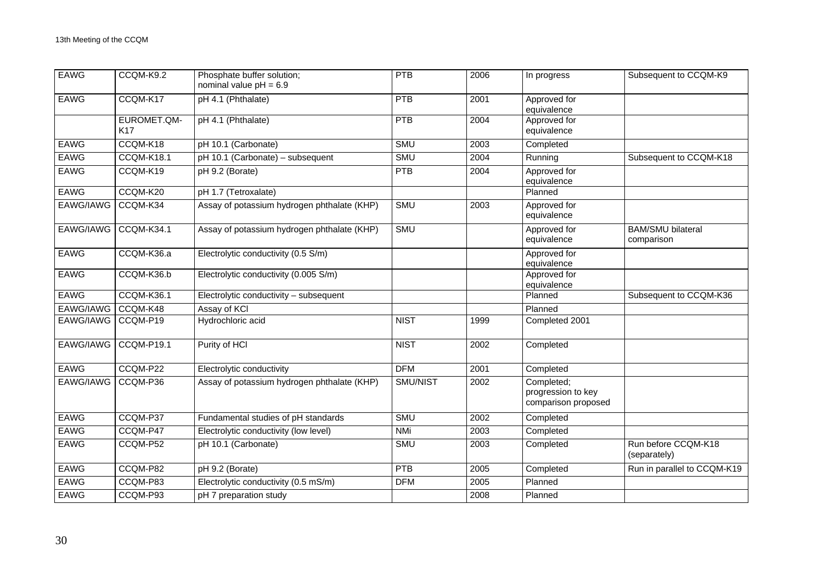| <b>EAWG</b> | CCQM-K9.2                 | Phosphate buffer solution;<br>nominal value $pH = 6.9$ | PTB         | 2006 | In progress                                             | Subsequent to CCQM-K9                  |
|-------------|---------------------------|--------------------------------------------------------|-------------|------|---------------------------------------------------------|----------------------------------------|
| <b>EAWG</b> | CCQM-K17                  | pH 4.1 (Phthalate)                                     | <b>PTB</b>  | 2001 | Approved for<br>equivalence                             |                                        |
|             | EUROMET.QM-<br><b>K17</b> | pH 4.1 (Phthalate)                                     | PTB         | 2004 | Approved for<br>equivalence                             |                                        |
| <b>EAWG</b> | CCQM-K18                  | pH 10.1 (Carbonate)                                    | <b>SMU</b>  | 2003 | Completed                                               |                                        |
| <b>EAWG</b> | CCQM-K18.1                | pH 10.1 (Carbonate) - subsequent                       | SMU         | 2004 | Running                                                 | Subsequent to CCQM-K18                 |
| <b>EAWG</b> | CCQM-K19                  | pH 9.2 (Borate)                                        | PTB         | 2004 | Approved for<br>equivalence                             |                                        |
| <b>EAWG</b> | CCQM-K20                  | pH 1.7 (Tetroxalate)                                   |             |      | Planned                                                 |                                        |
| EAWG/IAWG   | CCQM-K34                  | Assay of potassium hydrogen phthalate (KHP)            | <b>SMU</b>  | 2003 | Approved for<br>equivalence                             |                                        |
| EAWG/IAWG   | <b>CCQM-K34.1</b>         | Assay of potassium hydrogen phthalate (KHP)            | <b>SMU</b>  |      | Approved for<br>equivalence                             | <b>BAM/SMU bilateral</b><br>comparison |
| <b>EAWG</b> | CCQM-K36.a                | Electrolytic conductivity (0.5 S/m)                    |             |      | Approved for<br>equivalence                             |                                        |
| <b>EAWG</b> | CCQM-K36.b                | Electrolytic conductivity (0.005 S/m)                  |             |      | Approved for<br>equivalence                             |                                        |
| <b>EAWG</b> | CCQM-K36.1                | Electrolytic conductivity - subsequent                 |             |      | Planned                                                 | Subsequent to CCQM-K36                 |
| EAWG/IAWG   | CCQM-K48                  | Assay of KCI                                           |             |      | Planned                                                 |                                        |
| EAWG/IAWG   | CCQM-P19                  | Hydrochloric acid                                      | <b>NIST</b> | 1999 | Completed 2001                                          |                                        |
| EAWG/IAWG   | <b>CCQM-P19.1</b>         | Purity of HCI                                          | <b>NIST</b> | 2002 | Completed                                               |                                        |
| <b>EAWG</b> | CCQM-P22                  | Electrolytic conductivity                              | <b>DFM</b>  | 2001 | Completed                                               |                                        |
| EAWG/IAWG   | CCQM-P36                  | Assay of potassium hydrogen phthalate (KHP)            | SMU/NIST    | 2002 | Completed;<br>progression to key<br>comparison proposed |                                        |
| <b>EAWG</b> | CCQM-P37                  | Fundamental studies of pH standards                    | <b>SMU</b>  | 2002 | Completed                                               |                                        |
| <b>EAWG</b> | CCQM-P47                  | Electrolytic conductivity (low level)                  | <b>NMi</b>  | 2003 | Completed                                               |                                        |
| <b>EAWG</b> | CCQM-P52                  | pH 10.1 (Carbonate)                                    | <b>SMU</b>  | 2003 | Completed                                               | Run before CCQM-K18<br>(separately)    |
| <b>EAWG</b> | CCQM-P82                  | $pH$ 9.2 (Borate)                                      | <b>PTB</b>  | 2005 | Completed                                               | Run in parallel to CCQM-K19            |
| <b>EAWG</b> | CCQM-P83                  | Electrolytic conductivity (0.5 mS/m)                   | <b>DFM</b>  | 2005 | Planned                                                 |                                        |
| <b>EAWG</b> | CCQM-P93                  | pH 7 preparation study                                 |             | 2008 | Planned                                                 |                                        |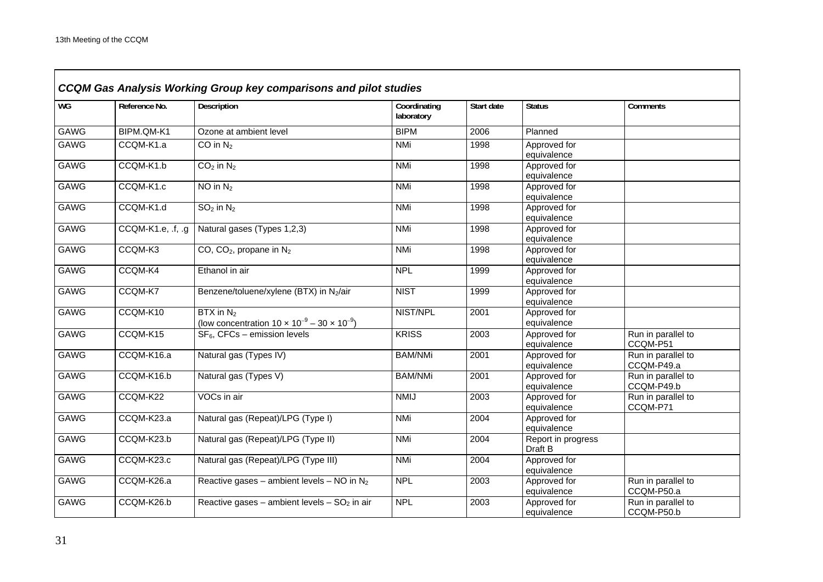| <b>WG</b>   | Reference No.     | Description                                                                    | Coordinating<br>laboratory | Start date | <b>Status</b>                 | Comments                         |
|-------------|-------------------|--------------------------------------------------------------------------------|----------------------------|------------|-------------------------------|----------------------------------|
| <b>GAWG</b> | BIPM.QM-K1        | Ozone at ambient level                                                         | <b>BIPM</b>                | 2006       | Planned                       |                                  |
| <b>GAWG</b> | CCQM-K1.a         | CO in $N_2$                                                                    | NMi                        | 1998       | Approved for<br>equivalence   |                                  |
| <b>GAWG</b> | CCQM-K1.b         | $CO2$ in $N2$                                                                  | NMi                        | 1998       | Approved for<br>equivalence   |                                  |
| <b>GAWG</b> | CCQM-K1.c         | $NO$ in $N_2$                                                                  | NMi                        | 1998       | Approved for<br>equivalence   |                                  |
| <b>GAWG</b> | CCQM-K1.d         | $SO2$ in $N2$                                                                  | <b>NMi</b>                 | 1998       | Approved for<br>equivalence   |                                  |
| <b>GAWG</b> | CCQM-K1.e, .f, .g | Natural gases (Types 1,2,3)                                                    | <b>NMi</b>                 | 1998       | Approved for<br>equivalence   |                                  |
| <b>GAWG</b> | CCQM-K3           | CO, $CO2$ , propane in $N2$                                                    | <b>NMi</b>                 | 1998       | Approved for<br>equivalence   |                                  |
| <b>GAWG</b> | CCQM-K4           | Ethanol in air                                                                 | <b>NPL</b>                 | 1999       | Approved for<br>equivalence   |                                  |
| <b>GAWG</b> | CCQM-K7           | Benzene/toluene/xylene (BTX) in N2/air                                         | <b>NIST</b>                | 1999       | Approved for<br>equivalence   |                                  |
| <b>GAWG</b> | CCQM-K10          | $BTX$ in $N_2$<br>(low concentration $10 \times 10^{-9} - 30 \times 10^{-9}$ ) | NIST/NPL                   | 2001       | Approved for<br>equivalence   |                                  |
| <b>GAWG</b> | CCQM-K15          | $SF6$ , CFCs – emission levels                                                 | <b>KRISS</b>               | 2003       | Approved for<br>equivalence   | Run in parallel to<br>CCQM-P51   |
| <b>GAWG</b> | CCQM-K16.a        | Natural gas (Types IV)                                                         | <b>BAM/NMi</b>             | 2001       | Approved for<br>equivalence   | Run in parallel to<br>CCQM-P49.a |
| <b>GAWG</b> | CCQM-K16.b        | Natural gas (Types V)                                                          | <b>BAM/NMi</b>             | 2001       | Approved for<br>equivalence   | Run in parallel to<br>CCQM-P49.b |
| <b>GAWG</b> | CCQM-K22          | VOCs in air                                                                    | <b>NMIJ</b>                | 2003       | Approved for<br>equivalence   | Run in parallel to<br>CCQM-P71   |
| <b>GAWG</b> | CCQM-K23.a        | Natural gas (Repeat)/LPG (Type I)                                              | NMi                        | 2004       | Approved for<br>equivalence   |                                  |
| <b>GAWG</b> | CCQM-K23.b        | Natural gas (Repeat)/LPG (Type II)                                             | <b>NMi</b>                 | 2004       | Report in progress<br>Draft B |                                  |
| <b>GAWG</b> | CCQM-K23.c        | Natural gas (Repeat)/LPG (Type III)                                            | NMi                        | 2004       | Approved for<br>equivalence   |                                  |
| <b>GAWG</b> | CCQM-K26.a        | Reactive gases – ambient levels – NO in $N_2$                                  | <b>NPL</b>                 | 2003       | Approved for<br>equivalence   | Run in parallel to<br>CCQM-P50.a |
| <b>GAWG</b> | CCQM-K26.b        | Reactive gases – ambient levels – $SO2$ in air                                 | <b>NPL</b>                 | 2003       | Approved for<br>equivalence   | Run in parallel to<br>CCQM-P50.b |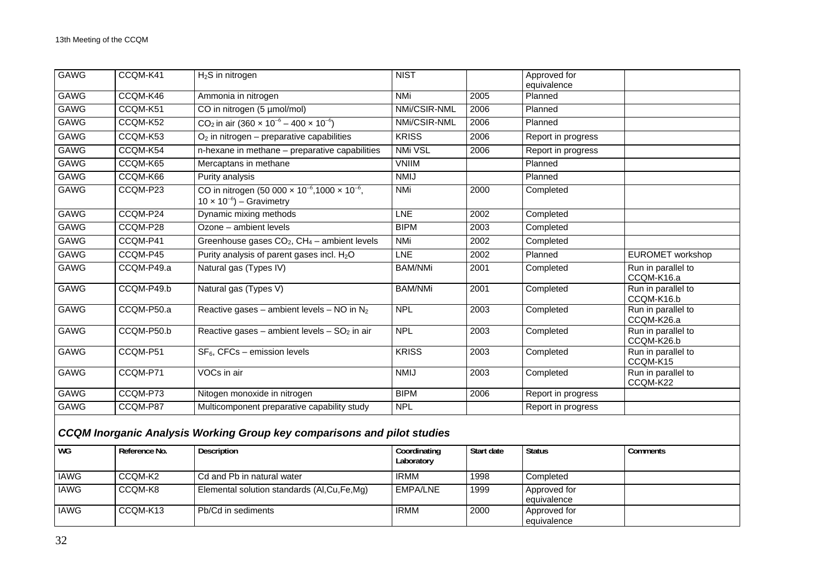| GAWG        | CCQM-K41      | $H2S$ in nitrogen                                                                                                        | <b>NIST</b>                |            | Approved for<br>equivalence |                                  |
|-------------|---------------|--------------------------------------------------------------------------------------------------------------------------|----------------------------|------------|-----------------------------|----------------------------------|
| <b>GAWG</b> | CCQM-K46      | Ammonia in nitrogen                                                                                                      | <b>NMi</b>                 | 2005       | Planned                     |                                  |
| <b>GAWG</b> | CCQM-K51      | CO in nitrogen (5 µmol/mol)                                                                                              | NMi/CSIR-NML               | 2006       | Planned                     |                                  |
| GAWG        | CCQM-K52      | $CO2$ in air (360 x 10 <sup>-6</sup> – 400 x 10 <sup>-6</sup> )                                                          | NMi/CSIR-NML               | 2006       | Planned                     |                                  |
| GAWG        | CCQM-K53      | $O2$ in nitrogen – preparative capabilities                                                                              | <b>KRISS</b>               | 2006       | Report in progress          |                                  |
| <b>GAWG</b> | CCQM-K54      | n-hexane in methane - preparative capabilities                                                                           | NMi VSL                    | 2006       | Report in progress          |                                  |
| <b>GAWG</b> | CCQM-K65      | Mercaptans in methane                                                                                                    | <b>VNIIM</b>               |            | Planned                     |                                  |
| <b>GAWG</b> | CCQM-K66      | Purity analysis                                                                                                          | <b>NMIJ</b>                |            | Planned                     |                                  |
| GAWG        | CCQM-P23      | CO in nitrogen (50 000 $\times$ 10 <sup>-6</sup> ,1000 $\times$ 10 <sup>-6</sup> ,<br>$10 \times 10^{-6}$ ) – Gravimetry | <b>NMi</b>                 | 2000       | Completed                   |                                  |
| GAWG        | CCQM-P24      | Dynamic mixing methods                                                                                                   | LNE                        | 2002       | Completed                   |                                  |
| <b>GAWG</b> | CCQM-P28      | $\overline{Ozone}$ – ambient levels                                                                                      | <b>BIPM</b>                | 2003       | Completed                   |                                  |
| <b>GAWG</b> | CCQM-P41      | Greenhouse gases $CO2$ , $CH4$ – ambient levels                                                                          | <b>NMi</b>                 | 2002       | Completed                   |                                  |
| <b>GAWG</b> | CCQM-P45      | Purity analysis of parent gases incl. H <sub>2</sub> O                                                                   | <b>LNE</b>                 | 2002       | Planned                     | <b>EUROMET</b> workshop          |
| GAWG        | CCQM-P49.a    | Natural gas (Types IV)                                                                                                   | <b>BAM/NMi</b>             | 2001       | Completed                   | Run in parallel to<br>CCQM-K16.a |
| <b>GAWG</b> | CCQM-P49.b    | Natural gas (Types V)                                                                                                    | <b>BAM/NMi</b>             | 2001       | Completed                   | Run in parallel to<br>CCQM-K16.b |
| <b>GAWG</b> | CCQM-P50.a    | Reactive gases – ambient levels – NO in $N_2$                                                                            | <b>NPL</b>                 | 2003       | Completed                   | Run in parallel to<br>CCQM-K26.a |
| <b>GAWG</b> | CCQM-P50.b    | Reactive gases – ambient levels – $SO2$ in air                                                                           | <b>NPL</b>                 | 2003       | Completed                   | Run in parallel to<br>CCQM-K26.b |
| GAWG        | CCQM-P51      | $SF6$ , CFCs – emission levels                                                                                           | <b>KRISS</b>               | 2003       | Completed                   | Run in parallel to<br>CCQM-K15   |
| <b>GAWG</b> | CCQM-P71      | VOCs in air                                                                                                              | <b>NMIJ</b>                | 2003       | Completed                   | Run in parallel to<br>CCQM-K22   |
| <b>GAWG</b> | CCQM-P73      | Nitogen monoxide in nitrogen                                                                                             | <b>BIPM</b>                | 2006       | Report in progress          |                                  |
| <b>GAWG</b> | CCQM-P87      | Multicomponent preparative capability study                                                                              | <b>NPL</b>                 |            | Report in progress          |                                  |
|             |               | <b>CCQM Inorganic Analysis Working Group key comparisons and pilot studies</b>                                           |                            |            |                             |                                  |
| WG          | Reference No. | Description                                                                                                              | Coordinating<br>Laboratory | Start date | <b>Status</b>               | Comments                         |
| <b>IAWG</b> | CCQM-K2       | Cd and Pb in natural water                                                                                               | <b>IRMM</b>                | 1998       | Completed                   |                                  |
| <b>IAWG</b> | CCQM-K8       | Elemental solution standards (Al, Cu, Fe, Mg)                                                                            | EMPA/LNE                   | 1999       | Approved for                |                                  |

IAWG CCQM-K13 Pb/Cd in sediments IRMM 2000

equivalence

equivalence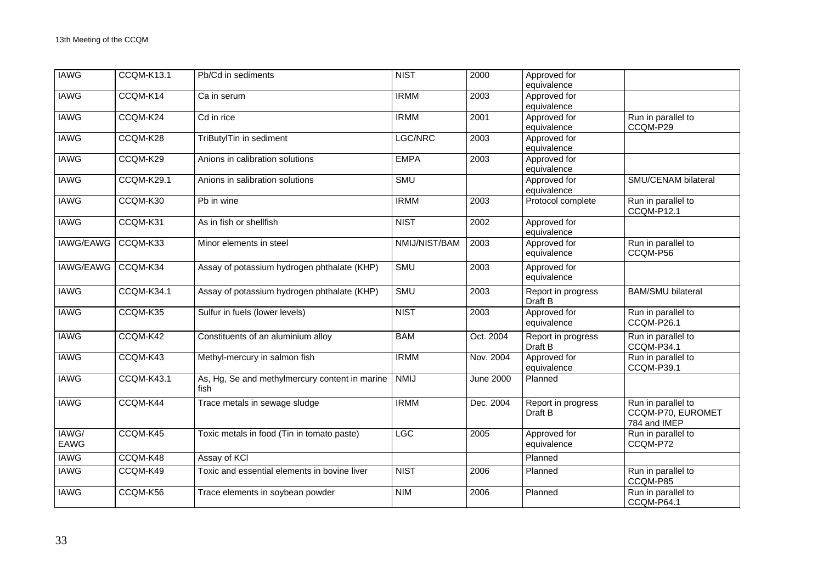| <b>IAWG</b>      | CCQM-K13.1        | Pb/Cd in sediments                                     | <b>NIST</b>   | 2000             | Approved for<br>equivalence   |                                                         |
|------------------|-------------------|--------------------------------------------------------|---------------|------------------|-------------------------------|---------------------------------------------------------|
| <b>IAWG</b>      | CCQM-K14          | Ca in serum                                            | <b>IRMM</b>   | 2003             | Approved for<br>equivalence   |                                                         |
| <b>IAWG</b>      | CCQM-K24          | Cd in rice                                             | <b>IRMM</b>   | 2001             | Approved for<br>equivalence   | Run in parallel to<br>CCQM-P29                          |
| <b>IAWG</b>      | CCQM-K28          | TriButylTin in sediment                                | LGC/NRC       | 2003             | Approved for<br>equivalence   |                                                         |
| <b>IAWG</b>      | CCQM-K29          | Anions in calibration solutions                        | <b>EMPA</b>   | 2003             | Approved for<br>equivalence   |                                                         |
| <b>IAWG</b>      | <b>CCQM-K29.1</b> | Anions in salibration solutions                        | SMU           |                  | Approved for<br>equivalence   | SMU/CENAM bilateral                                     |
| <b>IAWG</b>      | CCQM-K30          | Pb in wine                                             | <b>IRMM</b>   | 2003             | Protocol complete             | Run in parallel to<br>CCQM-P12.1                        |
| <b>IAWG</b>      | CCQM-K31          | As in fish or shellfish                                | <b>NIST</b>   | 2002             | Approved for<br>equivalence   |                                                         |
| <b>IAWG/EAWG</b> | CCQM-K33          | Minor elements in steel                                | NMIJ/NIST/BAM | 2003             | Approved for<br>equivalence   | Run in parallel to<br>CCQM-P56                          |
| <b>IAWG/EAWG</b> | CCQM-K34          | Assay of potassium hydrogen phthalate (KHP)            | <b>SMU</b>    | 2003             | Approved for<br>equivalence   |                                                         |
| <b>IAWG</b>      | CCQM-K34.1        | Assay of potassium hydrogen phthalate (KHP)            | <b>SMU</b>    | 2003             | Report in progress<br>Draft B | <b>BAM/SMU bilateral</b>                                |
| <b>IAWG</b>      | CCQM-K35          | Sulfur in fuels (lower levels)                         | <b>NIST</b>   | 2003             | Approved for<br>equivalence   | Run in parallel to<br>CCQM-P26.1                        |
| <b>IAWG</b>      | CCQM-K42          | Constituents of an aluminium alloy                     | <b>BAM</b>    | Oct. 2004        | Report in progress<br>Draft B | Run in parallel to<br>CCQM-P34.1                        |
| <b>IAWG</b>      | CCQM-K43          | Methyl-mercury in salmon fish                          | <b>IRMM</b>   | Nov. 2004        | Approved for<br>equivalence   | Run in parallel to<br>CCQM-P39.1                        |
| <b>IAWG</b>      | CCQM-K43.1        | As, Hg, Se and methylmercury content in marine<br>fish | <b>NMIJ</b>   | <b>June 2000</b> | Planned                       |                                                         |
| <b>IAWG</b>      | CCQM-K44          | Trace metals in sewage sludge                          | <b>IRMM</b>   | Dec. 2004        | Report in progress<br>Draft B | Run in parallel to<br>CCQM-P70, EUROMET<br>784 and IMEP |
| IAWG/<br>EAWG    | CCQM-K45          | Toxic metals in food (Tin in tomato paste)             | <b>LGC</b>    | 2005             | Approved for<br>equivalence   | Run in parallel to<br>CCQM-P72                          |
| <b>IAWG</b>      | CCQM-K48          | Assay of KCI                                           |               |                  | Planned                       |                                                         |
| <b>IAWG</b>      | CCQM-K49          | Toxic and essential elements in bovine liver           | <b>NIST</b>   | 2006             | Planned                       | Run in parallel to<br>CCQM-P85                          |
| <b>IAWG</b>      | CCQM-K56          | Trace elements in soybean powder                       | <b>NIM</b>    | 2006             | Planned                       | Run in parallel to<br>CCQM-P64.1                        |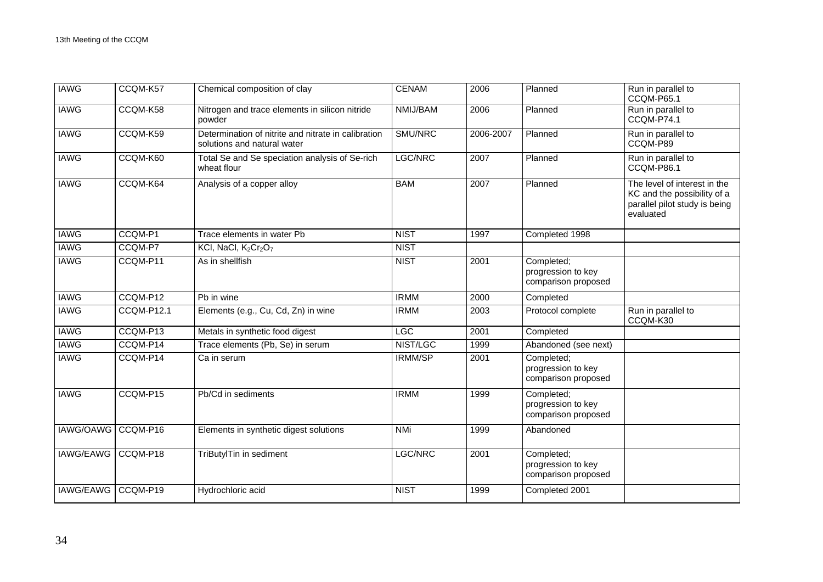| <b>IAWG</b>      | CCQM-K57   | Chemical composition of clay                                                       | <b>CENAM</b>   | 2006      | Planned                                                 | Run in parallel to<br>CCQM-P65.1                                                                          |
|------------------|------------|------------------------------------------------------------------------------------|----------------|-----------|---------------------------------------------------------|-----------------------------------------------------------------------------------------------------------|
| <b>IAWG</b>      | CCQM-K58   | Nitrogen and trace elements in silicon nitride<br>powder                           | NMIJ/BAM       | 2006      | Planned                                                 | Run in parallel to<br>CCQM-P74.1                                                                          |
| <b>IAWG</b>      | CCQM-K59   | Determination of nitrite and nitrate in calibration<br>solutions and natural water | SMU/NRC        | 2006-2007 | Planned                                                 | Run in parallel to<br>CCQM-P89                                                                            |
| <b>IAWG</b>      | CCQM-K60   | Total Se and Se speciation analysis of Se-rich<br>wheat flour                      | LGC/NRC        | 2007      | Planned                                                 | Run in parallel to<br>CCQM-P86.1                                                                          |
| <b>IAWG</b>      | CCQM-K64   | Analysis of a copper alloy                                                         | <b>BAM</b>     | 2007      | Planned                                                 | The level of interest in the<br>KC and the possibility of a<br>parallel pilot study is being<br>evaluated |
| <b>IAWG</b>      | CCQM-P1    | Trace elements in water Pb                                                         | <b>NIST</b>    | 1997      | Completed 1998                                          |                                                                                                           |
| <b>IAWG</b>      | CCQM-P7    | KCI, NaCI, K <sub>2</sub> Cr <sub>2</sub> O <sub>7</sub>                           | <b>NIST</b>    |           |                                                         |                                                                                                           |
| <b>IAWG</b>      | CCQM-P11   | As in shellfish                                                                    | <b>NIST</b>    | 2001      | Completed;<br>progression to key<br>comparison proposed |                                                                                                           |
| <b>IAWG</b>      | CCQM-P12   | Pb in wine                                                                         | <b>IRMM</b>    | 2000      | Completed                                               |                                                                                                           |
| <b>IAWG</b>      | CCQM-P12.1 | Elements (e.g., Cu, Cd, Zn) in wine                                                | <b>IRMM</b>    | 2003      | Protocol complete                                       | Run in parallel to<br>CCQM-K30                                                                            |
| <b>IAWG</b>      | CCQM-P13   | Metals in synthetic food digest                                                    | <b>LGC</b>     | 2001      | Completed                                               |                                                                                                           |
| <b>IAWG</b>      | CCQM-P14   | Trace elements (Pb, Se) in serum                                                   | NIST/LGC       | 1999      | Abandoned (see next)                                    |                                                                                                           |
| <b>IAWG</b>      | CCQM-P14   | Ca in serum                                                                        | <b>IRMM/SP</b> | 2001      | Completed;<br>progression to key<br>comparison proposed |                                                                                                           |
| <b>IAWG</b>      | CCQM-P15   | Pb/Cd in sediments                                                                 | <b>IRMM</b>    | 1999      | Completed;<br>progression to key<br>comparison proposed |                                                                                                           |
| IAWG/OAWG        | CCQM-P16   | Elements in synthetic digest solutions                                             | <b>NMi</b>     | 1999      | Abandoned                                               |                                                                                                           |
| <b>IAWG/EAWG</b> | CCQM-P18   | TriButylTin in sediment                                                            | LGC/NRC        | 2001      | Completed;<br>progression to key<br>comparison proposed |                                                                                                           |
| <b>IAWG/EAWG</b> | CCQM-P19   | Hydrochloric acid                                                                  | <b>NIST</b>    | 1999      | Completed 2001                                          |                                                                                                           |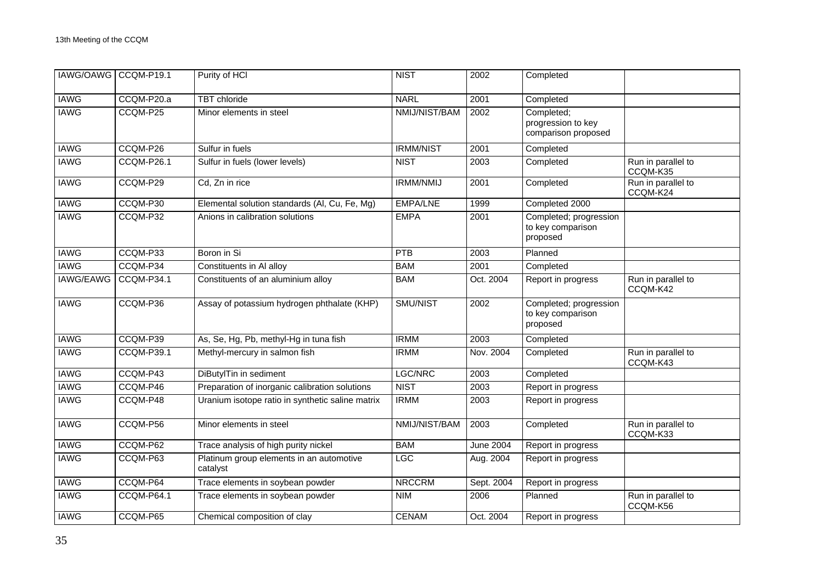| IAWG/OAWG CCQM-P19.1 |                   | Purity of HCI                                        | <b>NIST</b>      | 2002             | Completed                                               |                                |
|----------------------|-------------------|------------------------------------------------------|------------------|------------------|---------------------------------------------------------|--------------------------------|
| <b>IAWG</b>          | CCQM-P20.a        | <b>TBT</b> chloride                                  | <b>NARL</b>      | 2001             | Completed                                               |                                |
| <b>IAWG</b>          | CCQM-P25          | Minor elements in steel                              | NMIJ/NIST/BAM    | 2002             | Completed;<br>progression to key<br>comparison proposed |                                |
| <b>IAWG</b>          | CCQM-P26          | Sulfur in fuels                                      | <b>IRMM/NIST</b> | 2001             | Completed                                               |                                |
| <b>IAWG</b>          | CCQM-P26.1        | Sulfur in fuels (lower levels)                       | <b>NIST</b>      | 2003             | Completed                                               | Run in parallel to<br>CCQM-K35 |
| <b>IAWG</b>          | CCQM-P29          | Cd, Zn in rice                                       | <b>IRMM/NMIJ</b> | 2001             | Completed                                               | Run in parallel to<br>CCQM-K24 |
| <b>IAWG</b>          | CCQM-P30          | Elemental solution standards (Al, Cu, Fe, Mg)        | <b>EMPA/LNE</b>  | 1999             | Completed 2000                                          |                                |
| <b>IAWG</b>          | CCQM-P32          | Anions in calibration solutions                      | <b>EMPA</b>      | 2001             | Completed; progression<br>to key comparison<br>proposed |                                |
| <b>IAWG</b>          | CCQM-P33          | Boron in Si                                          | PTB              | 2003             | Planned                                                 |                                |
| <b>IAWG</b>          | CCQM-P34          | Constituents in Al alloy                             | <b>BAM</b>       | 2001             | Completed                                               |                                |
| <b>IAWG/EAWG</b>     | <b>CCQM-P34.1</b> | Constituents of an aluminium alloy                   | <b>BAM</b>       | Oct. 2004        | Report in progress                                      | Run in parallel to<br>CCQM-K42 |
| <b>IAWG</b>          | CCQM-P36          | Assay of potassium hydrogen phthalate (KHP)          | SMU/NIST         | 2002             | Completed; progression<br>to key comparison<br>proposed |                                |
| <b>IAWG</b>          | CCQM-P39          | As, Se, Hg, Pb, methyl-Hg in tuna fish               | <b>IRMM</b>      | 2003             | Completed                                               |                                |
| <b>IAWG</b>          | <b>CCQM-P39.1</b> | Methyl-mercury in salmon fish                        | <b>IRMM</b>      | Nov. 2004        | Completed                                               | Run in parallel to<br>CCQM-K43 |
| <b>IAWG</b>          | CCQM-P43          | DiButylTin in sediment                               | LGC/NRC          | 2003             | Completed                                               |                                |
| <b>IAWG</b>          | CCQM-P46          | Preparation of inorganic calibration solutions       | <b>NIST</b>      | 2003             | Report in progress                                      |                                |
| <b>IAWG</b>          | CCQM-P48          | Uranium isotope ratio in synthetic saline matrix     | <b>IRMM</b>      | 2003             | Report in progress                                      |                                |
| <b>IAWG</b>          | CCQM-P56          | Minor elements in steel                              | NMIJ/NIST/BAM    | 2003             | Completed                                               | Run in parallel to<br>CCQM-K33 |
| <b>IAWG</b>          | CCQM-P62          | Trace analysis of high purity nickel                 | <b>BAM</b>       | <b>June 2004</b> | Report in progress                                      |                                |
| <b>IAWG</b>          | CCQM-P63          | Platinum group elements in an automotive<br>catalyst | LGC              | Aug. 2004        | Report in progress                                      |                                |
| <b>IAWG</b>          | CCQM-P64          | Trace elements in soybean powder                     | <b>NRCCRM</b>    | Sept. 2004       | Report in progress                                      |                                |
| <b>IAWG</b>          | CCQM-P64.1        | Trace elements in soybean powder                     | <b>NIM</b>       | 2006             | Planned                                                 | Run in parallel to<br>CCQM-K56 |
| <b>IAWG</b>          | CCQM-P65          | Chemical composition of clay                         | <b>CENAM</b>     | Oct. 2004        | Report in progress                                      |                                |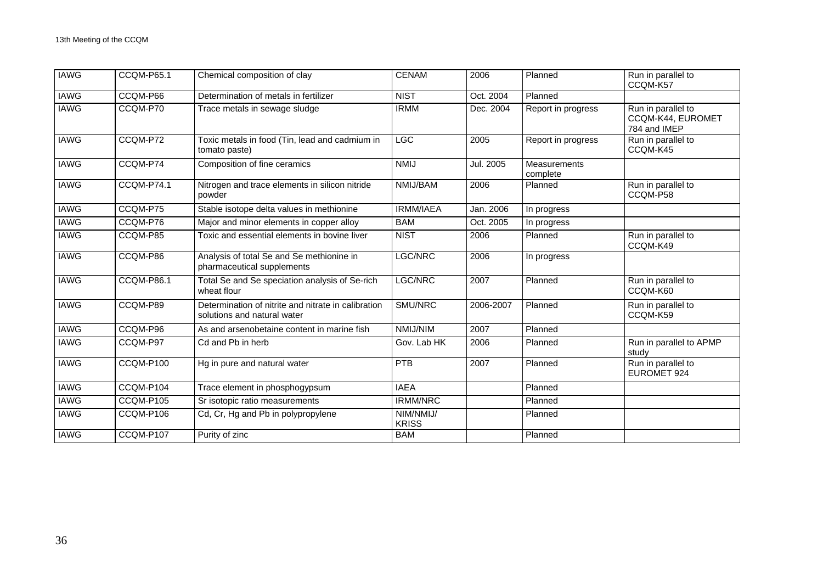| <b>IAWG</b> | <b>CCQM-P65.1</b> | Chemical composition of clay                                                       | <b>CENAM</b>              | 2006      | Planned                  | Run in parallel to<br>CCQM-K57                          |
|-------------|-------------------|------------------------------------------------------------------------------------|---------------------------|-----------|--------------------------|---------------------------------------------------------|
| <b>IAWG</b> | CCQM-P66          | Determination of metals in fertilizer                                              | <b>NIST</b>               | Oct. 2004 | Planned                  |                                                         |
| <b>IAWG</b> | CCQM-P70          | Trace metals in sewage sludge                                                      | <b>IRMM</b>               | Dec. 2004 | Report in progress       | Run in parallel to<br>CCQM-K44, EUROMET<br>784 and IMEP |
| <b>IAWG</b> | CCQM-P72          | Toxic metals in food (Tin, lead and cadmium in<br>tomato paste)                    | <b>LGC</b>                | 2005      | Report in progress       | Run in parallel to<br>CCQM-K45                          |
| <b>IAWG</b> | CCQM-P74          | Composition of fine ceramics                                                       | <b>NMIJ</b>               | Jul. 2005 | Measurements<br>complete |                                                         |
| <b>IAWG</b> | CCQM-P74.1        | Nitrogen and trace elements in silicon nitride<br>powder                           | NMIJ/BAM                  | 2006      | Planned                  | Run in parallel to<br>CCQM-P58                          |
| <b>IAWG</b> | CCQM-P75          | Stable isotope delta values in methionine                                          | IRMM/IAEA                 | Jan. 2006 | In progress              |                                                         |
| <b>IAWG</b> | CCQM-P76          | Major and minor elements in copper alloy                                           | <b>BAM</b>                | Oct. 2005 | In progress              |                                                         |
| <b>IAWG</b> | CCQM-P85          | Toxic and essential elements in bovine liver                                       | <b>NIST</b>               | 2006      | Planned                  | Run in parallel to<br>CCQM-K49                          |
| <b>IAWG</b> | CCQM-P86          | Analysis of total Se and Se methionine in<br>pharmaceutical supplements            | LGC/NRC                   | 2006      | In progress              |                                                         |
| <b>IAWG</b> | <b>CCQM-P86.1</b> | Total Se and Se speciation analysis of Se-rich<br>wheat flour                      | LGC/NRC                   | 2007      | Planned                  | Run in parallel to<br>CCQM-K60                          |
| <b>IAWG</b> | CCQM-P89          | Determination of nitrite and nitrate in calibration<br>solutions and natural water | SMU/NRC                   | 2006-2007 | Planned                  | Run in parallel to<br>CCQM-K59                          |
| <b>IAWG</b> | CCQM-P96          | As and arsenobetaine content in marine fish                                        | NMIJ/NIM                  | 2007      | Planned                  |                                                         |
| <b>IAWG</b> | CCQM-P97          | Cd and Pb in herb                                                                  | Gov. Lab HK               | 2006      | Planned                  | Run in parallel to APMP<br>study                        |
| <b>IAWG</b> | CCQM-P100         | Hg in pure and natural water                                                       | PTB                       | 2007      | Planned                  | Run in parallel to<br>EUROMET 924                       |
| <b>IAWG</b> | CCQM-P104         | Trace element in phosphogypsum                                                     | <b>IAEA</b>               |           | Planned                  |                                                         |
| <b>IAWG</b> | CCQM-P105         | Sr isotopic ratio measurements                                                     | <b>IRMM/NRC</b>           |           | Planned                  |                                                         |
| <b>IAWG</b> | CCQM-P106         | Cd, Cr, Hg and Pb in polypropylene                                                 | NIM/NMIJ/<br><b>KRISS</b> |           | Planned                  |                                                         |
| <b>IAWG</b> | CCQM-P107         | Purity of zinc                                                                     | <b>BAM</b>                |           | Planned                  |                                                         |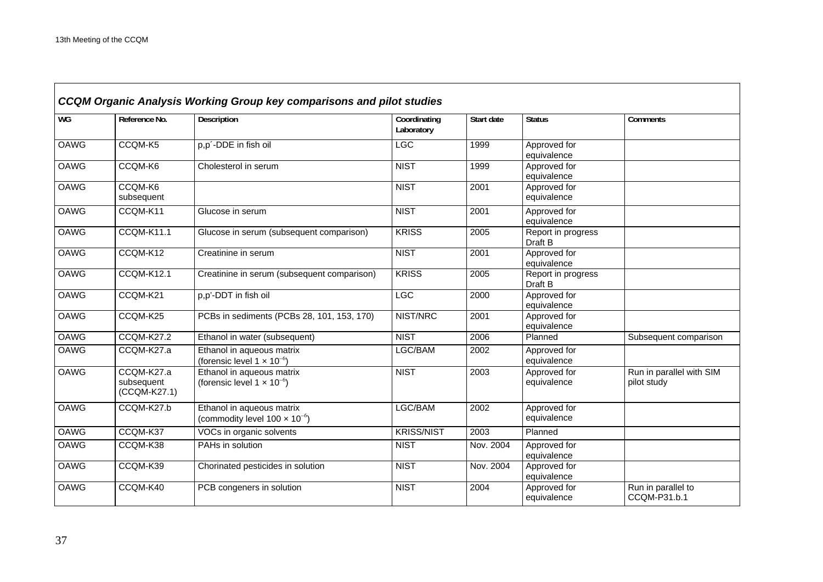|             | <b>CCQM Organic Analysis Working Group key comparisons and pilot studies</b> |                                                                               |                            |            |                               |                                         |  |  |  |
|-------------|------------------------------------------------------------------------------|-------------------------------------------------------------------------------|----------------------------|------------|-------------------------------|-----------------------------------------|--|--|--|
| WG          | Reference No.                                                                | Description                                                                   | Coordinating<br>Laboratory | Start date | <b>Status</b>                 | Comments                                |  |  |  |
| <b>OAWG</b> | CCQM-K5                                                                      | p,p'-DDE in fish oil                                                          | LGC                        | 1999       | Approved for<br>equivalence   |                                         |  |  |  |
| <b>OAWG</b> | CCQM-K6                                                                      | Cholesterol in serum                                                          | <b>NIST</b>                | 1999       | Approved for<br>equivalence   |                                         |  |  |  |
| <b>OAWG</b> | CCQM-K6<br>subsequent                                                        |                                                                               | <b>NIST</b>                | 2001       | Approved for<br>equivalence   |                                         |  |  |  |
| <b>OAWG</b> | CCQM-K11                                                                     | Glucose in serum                                                              | <b>NIST</b>                | 2001       | Approved for<br>equivalence   |                                         |  |  |  |
| <b>OAWG</b> | CCQM-K11.1                                                                   | Glucose in serum (subsequent comparison)                                      | <b>KRISS</b>               | 2005       | Report in progress<br>Draft B |                                         |  |  |  |
| <b>OAWG</b> | CCQM-K12                                                                     | Creatinine in serum                                                           | <b>NIST</b>                | 2001       | Approved for<br>equivalence   |                                         |  |  |  |
| <b>OAWG</b> | <b>CCQM-K12.1</b>                                                            | Creatinine in serum (subsequent comparison)                                   | <b>KRISS</b>               | 2005       | Report in progress<br>Draft B |                                         |  |  |  |
| <b>OAWG</b> | CCQM-K21                                                                     | p,p'-DDT in fish oil                                                          | <b>LGC</b>                 | 2000       | Approved for<br>equivalence   |                                         |  |  |  |
| <b>OAWG</b> | CCQM-K25                                                                     | PCBs in sediments (PCBs 28, 101, 153, 170)                                    | NIST/NRC                   | 2001       | Approved for<br>equivalence   |                                         |  |  |  |
| <b>OAWG</b> | CCQM-K27.2                                                                   | Ethanol in water (subsequent)                                                 | <b>NIST</b>                | 2006       | Planned                       | Subsequent comparison                   |  |  |  |
| <b>OAWG</b> | CCQM-K27.a                                                                   | Ethanol in aqueous matrix<br>(forensic level $1 \times 10^{-6}$ )             | LGC/BAM                    | 2002       | Approved for<br>equivalence   |                                         |  |  |  |
| <b>OAWG</b> | CCQM-K27.a<br>subsequent<br>(CCQM-K27.1)                                     | Ethanol in aqueous matrix<br>(forensic level $1 \times 10^{-6}$ )             | <b>NIST</b>                | 2003       | Approved for<br>equivalence   | Run in parallel with SIM<br>pilot study |  |  |  |
| <b>OAWG</b> | CCQM-K27.b                                                                   | Ethanol in aqueous matrix<br>(commodity level 100 $\times$ 10 <sup>-6</sup> ) | LGC/BAM                    | 2002       | Approved for<br>equivalence   |                                         |  |  |  |
| <b>OAWG</b> | CCQM-K37                                                                     | VOCs in organic solvents                                                      | <b>KRISS/NIST</b>          | 2003       | Planned                       |                                         |  |  |  |
| <b>OAWG</b> | CCQM-K38                                                                     | PAHs in solution                                                              | <b>NIST</b>                | Nov. 2004  | Approved for<br>equivalence   |                                         |  |  |  |
| <b>OAWG</b> | CCQM-K39                                                                     | Chorinated pesticides in solution                                             | <b>NIST</b>                | Nov. 2004  | Approved for<br>equivalence   |                                         |  |  |  |
| OAWG        | CCQM-K40                                                                     | PCB congeners in solution                                                     | <b>NIST</b>                | 2004       | Approved for<br>equivalence   | Run in parallel to<br>CCQM-P31.b.1      |  |  |  |

 $\overline{\phantom{0}}$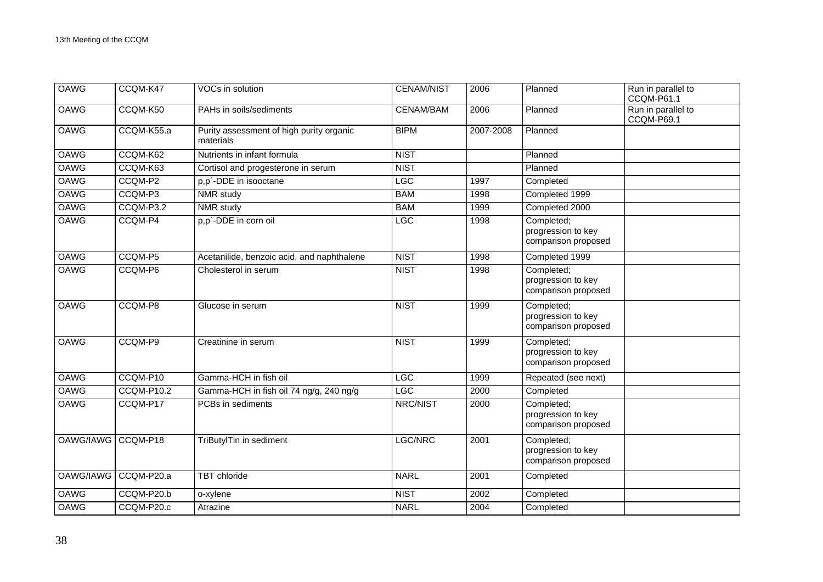| <b>OAWG</b> | CCQM-K47   | VOCs in solution                                      | <b>CENAM/NIST</b> | 2006      | Planned                                                 | Run in parallel to<br>CCQM-P61.1 |
|-------------|------------|-------------------------------------------------------|-------------------|-----------|---------------------------------------------------------|----------------------------------|
| <b>OAWG</b> | CCQM-K50   | PAHs in soils/sediments                               | CENAM/BAM         | 2006      | Planned                                                 | Run in parallel to<br>CCQM-P69.1 |
| <b>OAWG</b> | CCQM-K55.a | Purity assessment of high purity organic<br>materials | <b>BIPM</b>       | 2007-2008 | Planned                                                 |                                  |
| <b>OAWG</b> | CCQM-K62   | Nutrients in infant formula                           | <b>NIST</b>       |           | Planned                                                 |                                  |
| <b>OAWG</b> | CCQM-K63   | Cortisol and progesterone in serum                    | <b>NIST</b>       |           | Planned                                                 |                                  |
| <b>OAWG</b> | CCQM-P2    | p,p'-DDE in isooctane                                 | <b>LGC</b>        | 1997      | Completed                                               |                                  |
| <b>OAWG</b> | CCQM-P3    | NMR study                                             | <b>BAM</b>        | 1998      | Completed 1999                                          |                                  |
| <b>OAWG</b> | CCQM-P3.2  | NMR study                                             | <b>BAM</b>        | 1999      | Completed 2000                                          |                                  |
| <b>OAWG</b> | CCQM-P4    | p,p'-DDE in corn oil                                  | LGC               | 1998      | Completed;<br>progression to key<br>comparison proposed |                                  |
| <b>OAWG</b> | CCQM-P5    | Acetanilide, benzoic acid, and naphthalene            | <b>NIST</b>       | 1998      | Completed 1999                                          |                                  |
| <b>OAWG</b> | CCQM-P6    | Cholesterol in serum                                  | <b>NIST</b>       | 1998      | Completed;<br>progression to key<br>comparison proposed |                                  |
| <b>OAWG</b> | CCQM-P8    | Glucose in serum                                      | <b>NIST</b>       | 1999      | Completed;<br>progression to key<br>comparison proposed |                                  |
| <b>OAWG</b> | CCQM-P9    | Creatinine in serum                                   | <b>NIST</b>       | 1999      | Completed;<br>progression to key<br>comparison proposed |                                  |
| OAWG        | CCQM-P10   | Gamma-HCH in fish oil                                 | LGC               | 1999      | Repeated (see next)                                     |                                  |
| <b>OAWG</b> | CCQM-P10.2 | Gamma-HCH in fish oil 74 ng/g, 240 ng/g               | <b>LGC</b>        | 2000      | Completed                                               |                                  |
| <b>OAWG</b> | CCQM-P17   | PCBs in sediments                                     | NRC/NIST          | 2000      | Completed;<br>progression to key<br>comparison proposed |                                  |
| OAWG/IAWG   | CCQM-P18   | TriButylTin in sediment                               | LGC/NRC           | 2001      | Completed;<br>progression to key<br>comparison proposed |                                  |
| OAWG/IAWG   | CCQM-P20.a | <b>TBT</b> chloride                                   | <b>NARL</b>       | 2001      | Completed                                               |                                  |
| <b>OAWG</b> | CCQM-P20.b | o-xylene                                              | <b>NIST</b>       | 2002      | Completed                                               |                                  |
| <b>OAWG</b> | CCQM-P20.c | Atrazine                                              | <b>NARL</b>       | 2004      | Completed                                               |                                  |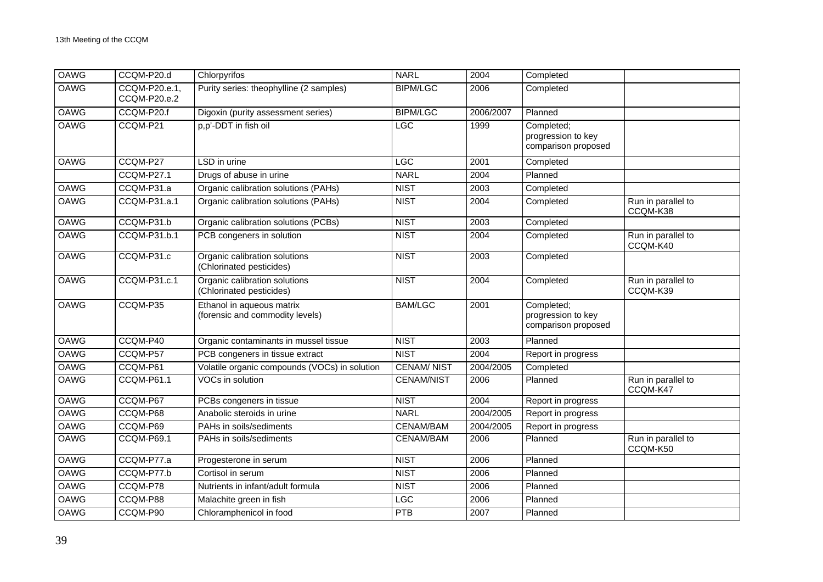| OAWG        | CCQM-P20.d                    | Chlorpyrifos                                                 | <b>NARL</b>       | 2004      | Completed                                               |                                |
|-------------|-------------------------------|--------------------------------------------------------------|-------------------|-----------|---------------------------------------------------------|--------------------------------|
| <b>OAWG</b> | CCQM-P20.e.1,<br>CCQM-P20.e.2 | Purity series: theophylline (2 samples)                      | <b>BIPM/LGC</b>   | 2006      | Completed                                               |                                |
| <b>OAWG</b> | CCQM-P20.f                    | Digoxin (purity assessment series)                           | <b>BIPM/LGC</b>   | 2006/2007 | Planned                                                 |                                |
| <b>OAWG</b> | CCQM-P21                      | p,p'-DDT in fish oil                                         | <b>LGC</b>        | 1999      | Completed;<br>progression to key<br>comparison proposed |                                |
| <b>OAWG</b> | CCQM-P27                      | LSD in urine                                                 | <b>LGC</b>        | 2001      | Completed                                               |                                |
|             | <b>CCQM-P27.1</b>             | Drugs of abuse in urine                                      | <b>NARL</b>       | 2004      | Planned                                                 |                                |
| OAWG        | CCQM-P31.a                    | Organic calibration solutions (PAHs)                         | <b>NIST</b>       | 2003      | Completed                                               |                                |
| <b>OAWG</b> | CCQM-P31.a.1                  | Organic calibration solutions (PAHs)                         | <b>NIST</b>       | 2004      | Completed                                               | Run in parallel to<br>CCQM-K38 |
| <b>OAWG</b> | CCQM-P31.b                    | Organic calibration solutions (PCBs)                         | <b>NIST</b>       | 2003      | Completed                                               |                                |
| <b>OAWG</b> | CCQM-P31.b.1                  | PCB congeners in solution                                    | <b>NIST</b>       | 2004      | Completed                                               | Run in parallel to<br>CCQM-K40 |
| <b>OAWG</b> | CCQM-P31.c                    | Organic calibration solutions<br>(Chlorinated pesticides)    | <b>NIST</b>       | 2003      | Completed                                               |                                |
| <b>OAWG</b> | <b>CCQM-P31.c.1</b>           | Organic calibration solutions<br>(Chlorinated pesticides)    | <b>NIST</b>       | 2004      | Completed                                               | Run in parallel to<br>CCQM-K39 |
| <b>OAWG</b> | CCQM-P35                      | Ethanol in aqueous matrix<br>(forensic and commodity levels) | <b>BAM/LGC</b>    | 2001      | Completed;<br>progression to key<br>comparison proposed |                                |
| <b>OAWG</b> | CCQM-P40                      | Organic contaminants in mussel tissue                        | <b>NIST</b>       | 2003      | Planned                                                 |                                |
| <b>OAWG</b> | CCQM-P57                      | PCB congeners in tissue extract                              | <b>NIST</b>       | 2004      | Report in progress                                      |                                |
| <b>OAWG</b> | CCQM-P61                      | Volatile organic compounds (VOCs) in solution                | <b>CENAM/NIST</b> | 2004/2005 | Completed                                               |                                |
| <b>OAWG</b> | CCQM-P61.1                    | VOCs in solution                                             | <b>CENAM/NIST</b> | 2006      | Planned                                                 | Run in parallel to<br>CCQM-K47 |
| <b>OAWG</b> | CCQM-P67                      | PCBs congeners in tissue                                     | <b>NIST</b>       | 2004      | Report in progress                                      |                                |
| <b>OAWG</b> | CCQM-P68                      | Anabolic steroids in urine                                   | <b>NARL</b>       | 2004/2005 | Report in progress                                      |                                |
| <b>OAWG</b> | CCQM-P69                      | PAHs in soils/sediments                                      | <b>CENAM/BAM</b>  | 2004/2005 | Report in progress                                      |                                |
| <b>OAWG</b> | CCQM-P69.1                    | PAHs in soils/sediments                                      | <b>CENAM/BAM</b>  | 2006      | Planned                                                 | Run in parallel to<br>CCQM-K50 |
| OAWG        | CCQM-P77.a                    | Progesterone in serum                                        | <b>NIST</b>       | 2006      | Planned                                                 |                                |
| <b>OAWG</b> | CCQM-P77.b                    | Cortisol in serum                                            | <b>NIST</b>       | 2006      | Planned                                                 |                                |
| <b>OAWG</b> | CCQM-P78                      | Nutrients in infant/adult formula                            | <b>NIST</b>       | 2006      | Planned                                                 |                                |
| <b>OAWG</b> | CCQM-P88                      | Malachite green in fish                                      | <b>LGC</b>        | 2006      | Planned                                                 |                                |
| OAWG        | CCQM-P90                      | Chloramphenicol in food                                      | PTB               | 2007      | Planned                                                 |                                |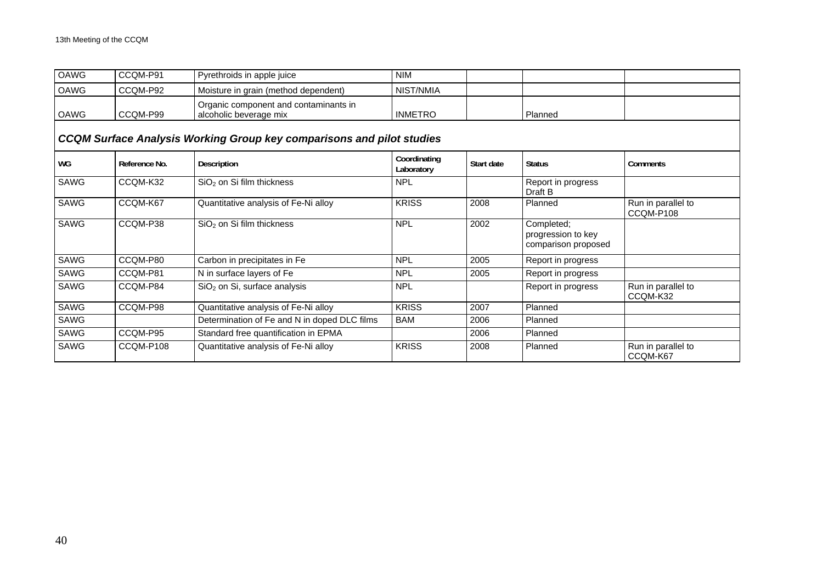| <b>OAWG</b>                                                                  | CCQM-P91      | Pyrethroids in apple juice                                      | <b>NIM</b>                 |            |                                                         |                                 |  |  |  |
|------------------------------------------------------------------------------|---------------|-----------------------------------------------------------------|----------------------------|------------|---------------------------------------------------------|---------------------------------|--|--|--|
| OAWG                                                                         | CCQM-P92      | Moisture in grain (method dependent)                            | NIST/NMIA                  |            |                                                         |                                 |  |  |  |
| OAWG                                                                         | CCQM-P99      | Organic component and contaminants in<br>alcoholic beverage mix | <b>INMETRO</b>             |            | Planned                                                 |                                 |  |  |  |
| <b>CCQM Surface Analysis Working Group key comparisons and pilot studies</b> |               |                                                                 |                            |            |                                                         |                                 |  |  |  |
| WG                                                                           | Reference No. | Description                                                     | Coordinating<br>Laboratory | Start date | <b>Status</b>                                           | Comments                        |  |  |  |
| SAWG                                                                         | CCQM-K32      | $SiO2$ on Si film thickness                                     | <b>NPL</b>                 |            | Report in progress<br>Draft B                           |                                 |  |  |  |
| <b>SAWG</b>                                                                  | CCQM-K67      | Quantitative analysis of Fe-Ni alloy                            | <b>KRISS</b>               | 2008       | Planned                                                 | Run in parallel to<br>CCQM-P108 |  |  |  |
| SAWG                                                                         | CCQM-P38      | SiO <sub>2</sub> on Si film thickness                           | <b>NPL</b>                 | 2002       | Completed;<br>progression to key<br>comparison proposed |                                 |  |  |  |
| <b>SAWG</b>                                                                  | CCQM-P80      | Carbon in precipitates in Fe                                    | <b>NPL</b>                 | 2005       | Report in progress                                      |                                 |  |  |  |
| <b>SAWG</b>                                                                  | CCQM-P81      | N in surface layers of Fe                                       | <b>NPL</b>                 | 2005       | Report in progress                                      |                                 |  |  |  |
| <b>SAWG</b>                                                                  | CCQM-P84      | SiO <sub>2</sub> on Si, surface analysis                        | <b>NPL</b>                 |            | Report in progress                                      | Run in parallel to<br>CCQM-K32  |  |  |  |
| <b>SAWG</b>                                                                  | CCQM-P98      | Quantitative analysis of Fe-Ni alloy                            | <b>KRISS</b>               | 2007       | Planned                                                 |                                 |  |  |  |
| SAWG                                                                         |               | Determination of Fe and N in doped DLC films                    | <b>BAM</b>                 | 2006       | Planned                                                 |                                 |  |  |  |
| SAWG                                                                         | CCQM-P95      | Standard free quantification in EPMA                            |                            | 2006       | Planned                                                 |                                 |  |  |  |
| <b>SAWG</b>                                                                  | CCQM-P108     | Quantitative analysis of Fe-Ni alloy                            | <b>KRISS</b>               | 2008       | Planned                                                 | Run in parallel to<br>CCQM-K67  |  |  |  |